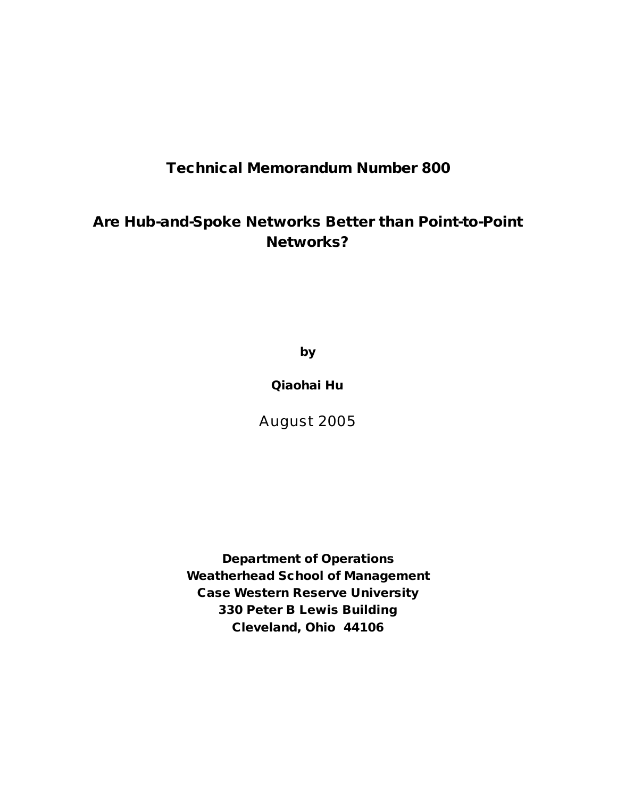# **Technical Memorandum Number 800**

# **Are Hub-and-Spoke Networks Better than Point-to-Point Networks?**

**by**

**Qiaohai Hu**

August 2005

**Department of Operations Weatherhead School of Management Case Western Reserve University 330 Peter B Lewis Building Cleveland, Ohio 44106**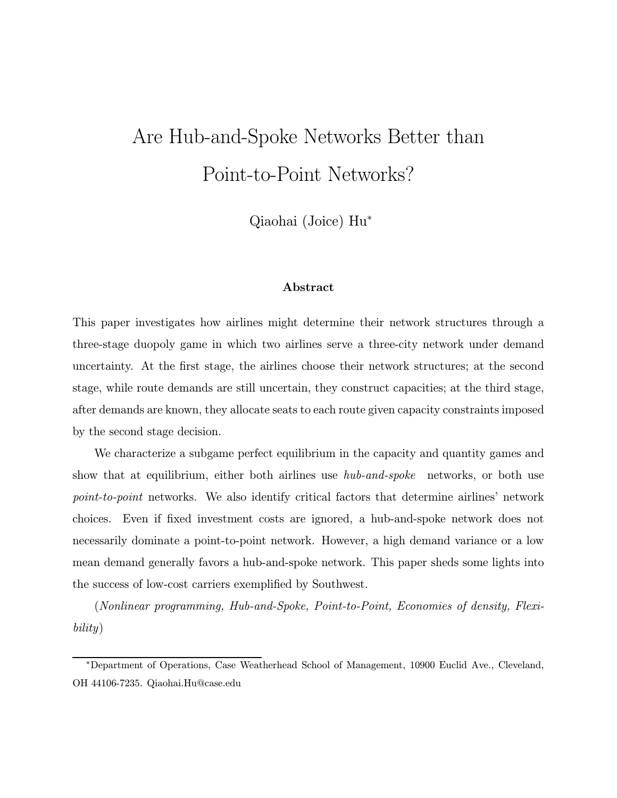# Are Hub-and-Spoke Networks Better than Point-to-Point Networks?

Qiaohai (Joice) Hu<sup>∗</sup>

## Abstract

This paper investigates how airlines might determine their network structures through a three-stage duopoly game in which two airlines serve a three-city network under demand uncertainty. At the first stage, the airlines choose their network structures; at the second stage, while route demands are still uncertain, they construct capacities; at the third stage, after demands are known, they allocate seats to each route given capacity constraints imposed by the second stage decision.

We characterize a subgame perfect equilibrium in the capacity and quantity games and show that at equilibrium, either both airlines use *hub-and-spoke* networks, or both use point-to-point networks. We also identify critical factors that determine airlines' network choices. Even if fixed investment costs are ignored, a hub-and-spoke network does not necessarily dominate a point-to-point network. However, a high demand variance or a low mean demand generally favors a hub-and-spoke network. This paper sheds some lights into the success of low-cost carriers exemplified by Southwest.

(Nonlinear programming, Hub-and-Spoke, Point-to-Point, Economies of density, Flexibility)

<sup>∗</sup>Department of Operations, Case Weatherhead School of Management, 10900 Euclid Ave., Cleveland, OH 44106-7235. Qiaohai.Hu@case.edu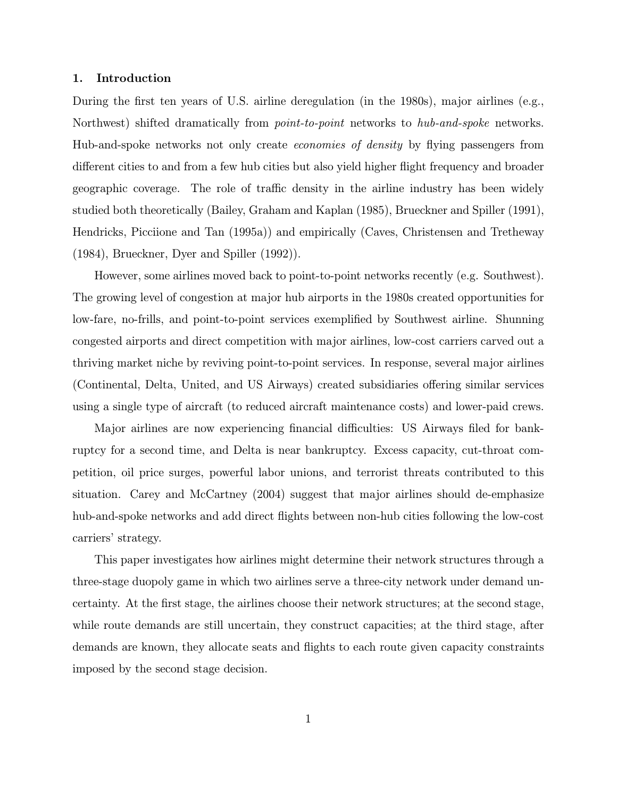#### 1. Introduction

During the first ten years of U.S. airline deregulation (in the 1980s), major airlines (e.g., Northwest) shifted dramatically from *point-to-point* networks to *hub-and-spoke* networks. Hub-and-spoke networks not only create economies of density by flying passengers from different cities to and from a few hub cities but also yield higher flight frequency and broader geographic coverage. The role of traffic density in the airline industry has been widely studied both theoretically (Bailey, Graham and Kaplan (1985), Brueckner and Spiller (1991), Hendricks, Picciione and Tan (1995a)) and empirically (Caves, Christensen and Tretheway (1984), Brueckner, Dyer and Spiller (1992)).

However, some airlines moved back to point-to-point networks recently (e.g. Southwest). The growing level of congestion at major hub airports in the 1980s created opportunities for low-fare, no-frills, and point-to-point services exemplified by Southwest airline. Shunning congested airports and direct competition with major airlines, low-cost carriers carved out a thriving market niche by reviving point-to-point services. In response, several major airlines (Continental, Delta, United, and US Airways) created subsidiaries offering similar services using a single type of aircraft (to reduced aircraft maintenance costs) and lower-paid crews.

Major airlines are now experiencing financial difficulties: US Airways filed for bankruptcy for a second time, and Delta is near bankruptcy. Excess capacity, cut-throat competition, oil price surges, powerful labor unions, and terrorist threats contributed to this situation. Carey and McCartney (2004) suggest that major airlines should de-emphasize hub-and-spoke networks and add direct flights between non-hub cities following the low-cost carriers' strategy.

This paper investigates how airlines might determine their network structures through a three-stage duopoly game in which two airlines serve a three-city network under demand uncertainty. At the first stage, the airlines choose their network structures; at the second stage, while route demands are still uncertain, they construct capacities; at the third stage, after demands are known, they allocate seats and flights to each route given capacity constraints imposed by the second stage decision.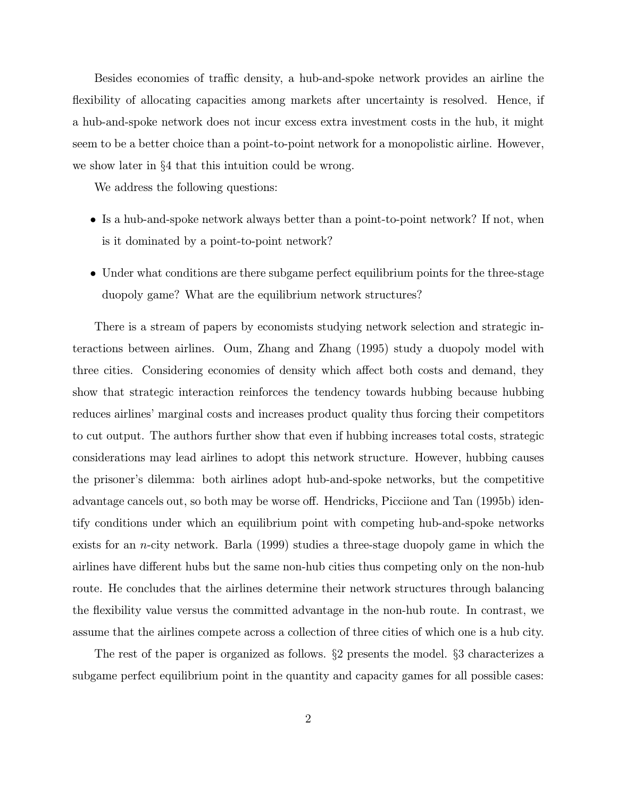Besides economies of traffic density, a hub-and-spoke network provides an airline the flexibility of allocating capacities among markets after uncertainty is resolved. Hence, if a hub-and-spoke network does not incur excess extra investment costs in the hub, it might seem to be a better choice than a point-to-point network for a monopolistic airline. However, we show later in §4 that this intuition could be wrong.

We address the following questions:

- Is a hub-and-spoke network always better than a point-to-point network? If not, when is it dominated by a point-to-point network?
- Under what conditions are there subgame perfect equilibrium points for the three-stage duopoly game? What are the equilibrium network structures?

There is a stream of papers by economists studying network selection and strategic interactions between airlines. Oum, Zhang and Zhang (1995) study a duopoly model with three cities. Considering economies of density which affect both costs and demand, they show that strategic interaction reinforces the tendency towards hubbing because hubbing reduces airlines' marginal costs and increases product quality thus forcing their competitors to cut output. The authors further show that even if hubbing increases total costs, strategic considerations may lead airlines to adopt this network structure. However, hubbing causes the prisoner's dilemma: both airlines adopt hub-and-spoke networks, but the competitive advantage cancels out, so both may be worse off. Hendricks, Picciione and Tan (1995b) identify conditions under which an equilibrium point with competing hub-and-spoke networks exists for an n-city network. Barla (1999) studies a three-stage duopoly game in which the airlines have different hubs but the same non-hub cities thus competing only on the non-hub route. He concludes that the airlines determine their network structures through balancing the flexibility value versus the committed advantage in the non-hub route. In contrast, we assume that the airlines compete across a collection of three cities of which one is a hub city.

The rest of the paper is organized as follows. §2 presents the model. §3 characterizes a subgame perfect equilibrium point in the quantity and capacity games for all possible cases: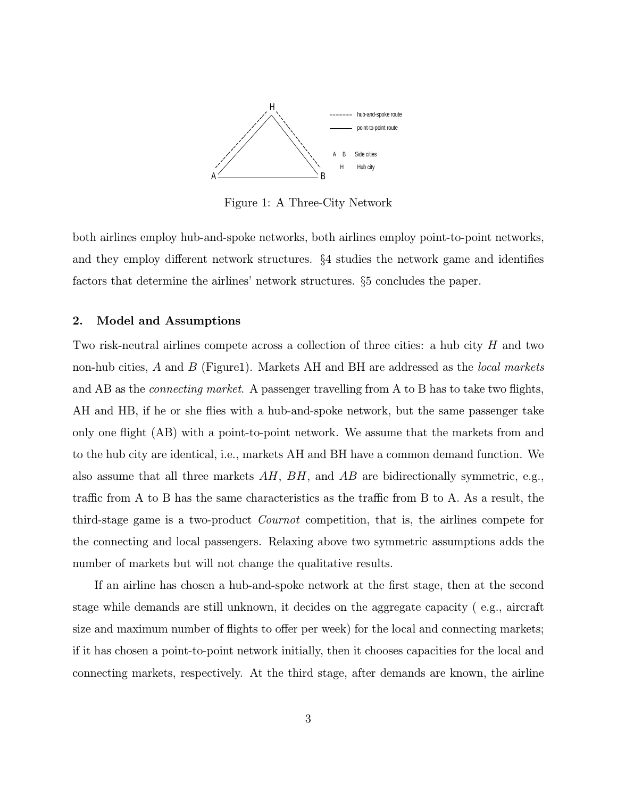

Figure 1: A Three-City Network

both airlines employ hub-and-spoke networks, both airlines employ point-to-point networks, and they employ different network structures. §4 studies the network game and identifies factors that determine the airlines' network structures. §5 concludes the paper.

### 2. Model and Assumptions

Two risk-neutral airlines compete across a collection of three cities: a hub city H and two non-hub cities,  $A$  and  $B$  (Figure1). Markets AH and BH are addressed as the *local markets* and AB as the *connecting market*. A passenger travelling from A to B has to take two flights, AH and HB, if he or she flies with a hub-and-spoke network, but the same passenger take only one flight (AB) with a point-to-point network. We assume that the markets from and to the hub city are identical, i.e., markets AH and BH have a common demand function. We also assume that all three markets  $AH$ ,  $BH$ , and  $AB$  are bidirectionally symmetric, e.g., traffic from A to B has the same characteristics as the traffic from B to A. As a result, the third-stage game is a two-product Cournot competition, that is, the airlines compete for the connecting and local passengers. Relaxing above two symmetric assumptions adds the number of markets but will not change the qualitative results.

If an airline has chosen a hub-and-spoke network at the first stage, then at the second stage while demands are still unknown, it decides on the aggregate capacity ( e.g., aircraft size and maximum number of flights to offer per week) for the local and connecting markets; if it has chosen a point-to-point network initially, then it chooses capacities for the local and connecting markets, respectively. At the third stage, after demands are known, the airline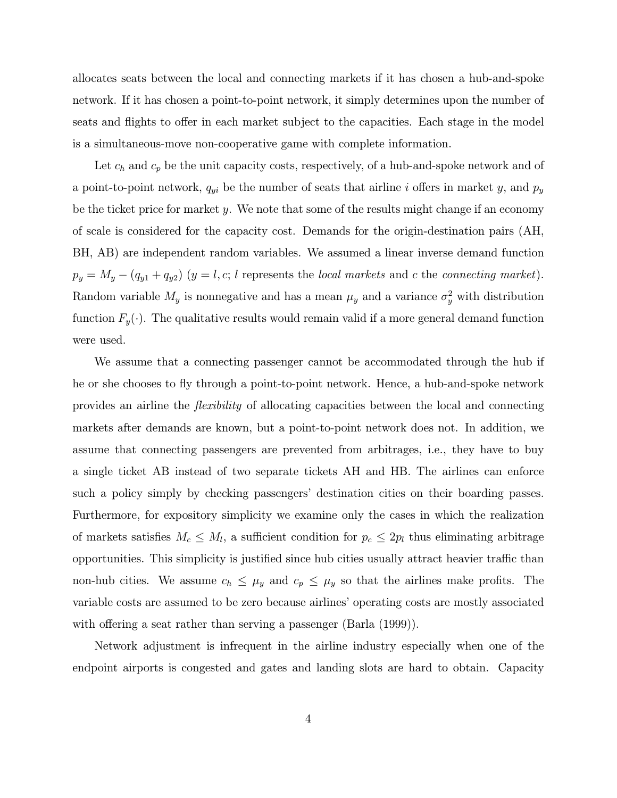allocates seats between the local and connecting markets if it has chosen a hub-and-spoke network. If it has chosen a point-to-point network, it simply determines upon the number of seats and flights to offer in each market subject to the capacities. Each stage in the model is a simultaneous-move non-cooperative game with complete information.

Let  $c_h$  and  $c_p$  be the unit capacity costs, respectively, of a hub-and-spoke network and of a point-to-point network,  $q_{yi}$  be the number of seats that airline i offers in market y, and  $p_y$ be the ticket price for market y. We note that some of the results might change if an economy of scale is considered for the capacity cost. Demands for the origin-destination pairs (AH, BH, AB) are independent random variables. We assumed a linear inverse demand function  $p_y = M_y - (q_{y1} + q_{y2})$   $(y = l, c; l$  represents the *local markets* and c the *connecting market*). Random variable  $M_y$  is nonnegative and has a mean  $\mu_y$  and a variance  $\sigma_y^2$  with distribution function  $F_y(\cdot)$ . The qualitative results would remain valid if a more general demand function were used.

We assume that a connecting passenger cannot be accommodated through the hub if he or she chooses to fly through a point-to-point network. Hence, a hub-and-spoke network provides an airline the flexibility of allocating capacities between the local and connecting markets after demands are known, but a point-to-point network does not. In addition, we assume that connecting passengers are prevented from arbitrages, i.e., they have to buy a single ticket AB instead of two separate tickets AH and HB. The airlines can enforce such a policy simply by checking passengers' destination cities on their boarding passes. Furthermore, for expository simplicity we examine only the cases in which the realization of markets satisfies  $M_c \leq M_l$ , a sufficient condition for  $p_c \leq 2p_l$  thus eliminating arbitrage opportunities. This simplicity is justified since hub cities usually attract heavier traffic than non-hub cities. We assume  $c_h \leq \mu_y$  and  $c_p \leq \mu_y$  so that the airlines make profits. The variable costs are assumed to be zero because airlines' operating costs are mostly associated with offering a seat rather than serving a passenger (Barla (1999)).

Network adjustment is infrequent in the airline industry especially when one of the endpoint airports is congested and gates and landing slots are hard to obtain. Capacity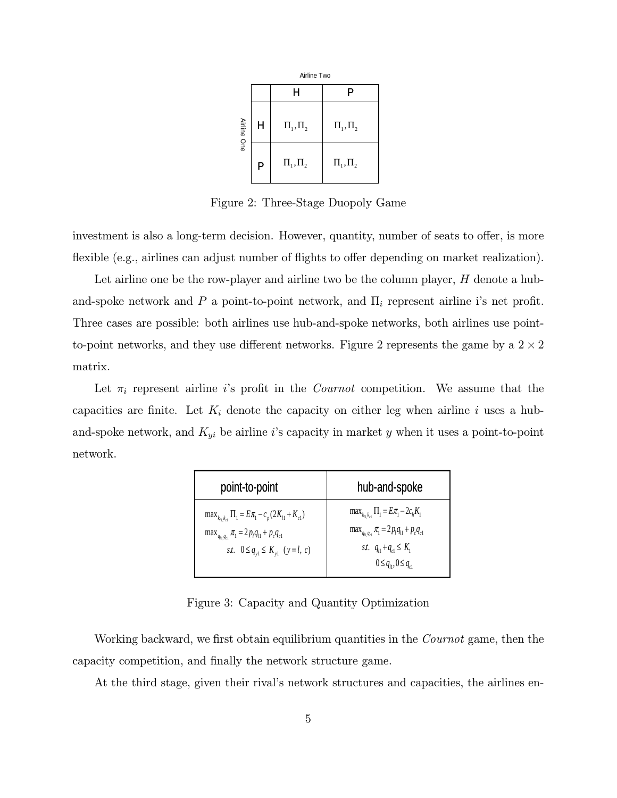|             |   | Airline Two    |                |  |
|-------------|---|----------------|----------------|--|
|             |   | H              | P              |  |
| Airline One | H | $\Pi_1, \Pi_2$ | $\Pi_1, \Pi_2$ |  |
|             | P | $\Pi_1, \Pi_2$ | $\Pi_1, \Pi_2$ |  |

Figure 2: Three-Stage Duopoly Game

investment is also a long-term decision. However, quantity, number of seats to offer, is more flexible (e.g., airlines can adjust number of flights to offer depending on market realization).

Let airline one be the row-player and airline two be the column player,  $H$  denote a huband-spoke network and P a point-to-point network, and  $\Pi_i$  represent airline i's net profit. Three cases are possible: both airlines use hub-and-spoke networks, both airlines use pointto-point networks, and they use different networks. Figure 2 represents the game by a  $2 \times 2$ matrix.

Let  $\pi_i$  represent airline is profit in the *Cournot* competition. We assume that the capacities are finite. Let  $K_i$  denote the capacity on either leg when airline i uses a huband-spoke network, and  $K_{yi}$  be airline i's capacity in market y when it uses a point-to-point network.

| point-to-point                                                                                                                                                       | hub-and-spoke                                                                                                                                                     |
|----------------------------------------------------------------------------------------------------------------------------------------------------------------------|-------------------------------------------------------------------------------------------------------------------------------------------------------------------|
| $\max_{k_1, k_2} \Pi_1 = E \pi_1 - c_p (2K_{l1} + K_{c1})$<br>$\max_{q_{i1}, q_{c1}} \pi_1 = 2p_l q_{l1} + p_c q_{c1}$<br>st. $0 \leq q_{v1} \leq K_{v1}$ $(y=l, c)$ | $\max_{k_1,k_2} \Pi_1 = E\pi_1 - 2c_hK_1$<br>$\max_{q_{i1}q_{c1}} \pi_1 = 2p_iq_{i1} + p_cq_{c1}$<br>st. $q_{1} + q_{2} \leq K_1$<br>$0 \leq q_{n}, 0 \leq q_{n}$ |

Figure 3: Capacity and Quantity Optimization

Working backward, we first obtain equilibrium quantities in the *Cournot* game, then the capacity competition, and finally the network structure game.

At the third stage, given their rival's network structures and capacities, the airlines en-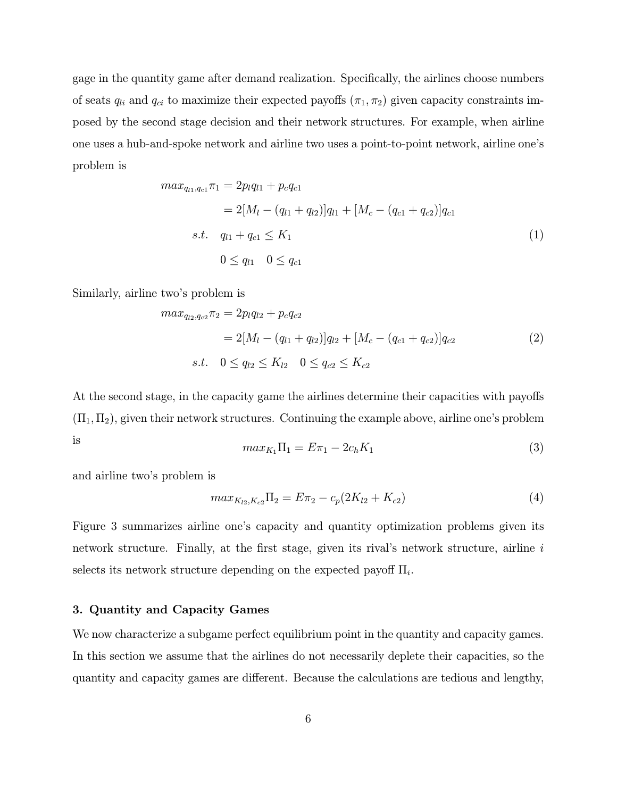gage in the quantity game after demand realization. Specifically, the airlines choose numbers of seats  $q_{li}$  and  $q_{ci}$  to maximize their expected payoffs  $(\pi_1, \pi_2)$  given capacity constraints imposed by the second stage decision and their network structures. For example, when airline one uses a hub-and-spoke network and airline two uses a point-to-point network, airline one's problem is

$$
max_{q_{l1}, q_{c1}} \pi_1 = 2p_l q_{l1} + p_c q_{c1}
$$
  
=  $2[M_l - (q_{l1} + q_{l2})]q_{l1} + [M_c - (q_{c1} + q_{c2})]q_{c1}$   
s.t.  $q_{l1} + q_{c1} \le K_1$   
 $0 \le q_{l1} \quad 0 \le q_{c1}$  (1)

Similarly, airline two's problem is

$$
max_{q_{l2}, q_{c2}} \pi_2 = 2p_l q_{l2} + p_c q_{c2}
$$
  
=  $2[M_l - (q_{l1} + q_{l2})]q_{l2} + [M_c - (q_{c1} + q_{c2})]q_{c2}$   
s.t.  $0 \le q_{l2} \le K_{l2} \quad 0 \le q_{c2} \le K_{c2}$  (2)

At the second stage, in the capacity game the airlines determine their capacities with payoffs  $(\Pi_1, \Pi_2)$ , given their network structures. Continuing the example above, airline one's problem is  $max_{K_1} \Pi_1 = E \pi_1 - 2c_h K_1$  (3)

and airline two's problem is

$$
max_{K_{l2}, K_{c2}} \Pi_2 = E \pi_2 - c_p (2K_{l2} + K_{c2})
$$
\n(4)

Figure 3 summarizes airline one's capacity and quantity optimization problems given its network structure. Finally, at the first stage, given its rival's network structure, airline i selects its network structure depending on the expected payoff  $\Pi_i$ .

### 3. Quantity and Capacity Games

We now characterize a subgame perfect equilibrium point in the quantity and capacity games. In this section we assume that the airlines do not necessarily deplete their capacities, so the quantity and capacity games are different. Because the calculations are tedious and lengthy,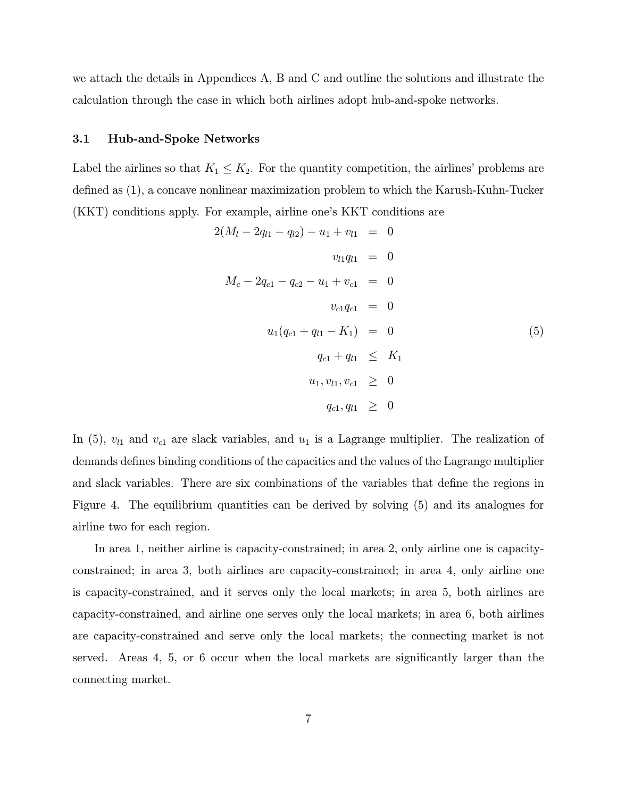we attach the details in Appendices A, B and C and outline the solutions and illustrate the calculation through the case in which both airlines adopt hub-and-spoke networks.

### 3.1 Hub-and-Spoke Networks

Label the airlines so that  $K_1 \leq K_2$ . For the quantity competition, the airlines' problems are defined as (1), a concave nonlinear maximization problem to which the Karush-Kuhn-Tucker (KKT) conditions apply. For example, airline one's KKT conditions are

$$
2(M_{l} - 2q_{l1} - q_{l2}) - u_{1} + v_{l1} = 0
$$
  
\n
$$
v_{l1}q_{l1} = 0
$$
  
\n
$$
M_{c} - 2q_{c1} - q_{c2} - u_{1} + v_{c1} = 0
$$
  
\n
$$
v_{c1}q_{c1} = 0
$$
  
\n
$$
u_{1}(q_{c1} + q_{l1} - K_{1}) = 0
$$
  
\n
$$
q_{c1} + q_{l1} \leq K_{1}
$$
  
\n
$$
u_{1}, v_{l1}, v_{c1} \geq 0
$$
  
\n
$$
q_{c1}, q_{l1} \geq 0
$$

In (5),  $v_{l1}$  and  $v_{c1}$  are slack variables, and  $u_1$  is a Lagrange multiplier. The realization of demands defines binding conditions of the capacities and the values of the Lagrange multiplier and slack variables. There are six combinations of the variables that define the regions in Figure 4. The equilibrium quantities can be derived by solving (5) and its analogues for airline two for each region.

In area 1, neither airline is capacity-constrained; in area 2, only airline one is capacityconstrained; in area 3, both airlines are capacity-constrained; in area 4, only airline one is capacity-constrained, and it serves only the local markets; in area 5, both airlines are capacity-constrained, and airline one serves only the local markets; in area 6, both airlines are capacity-constrained and serve only the local markets; the connecting market is not served. Areas 4, 5, or 6 occur when the local markets are significantly larger than the connecting market.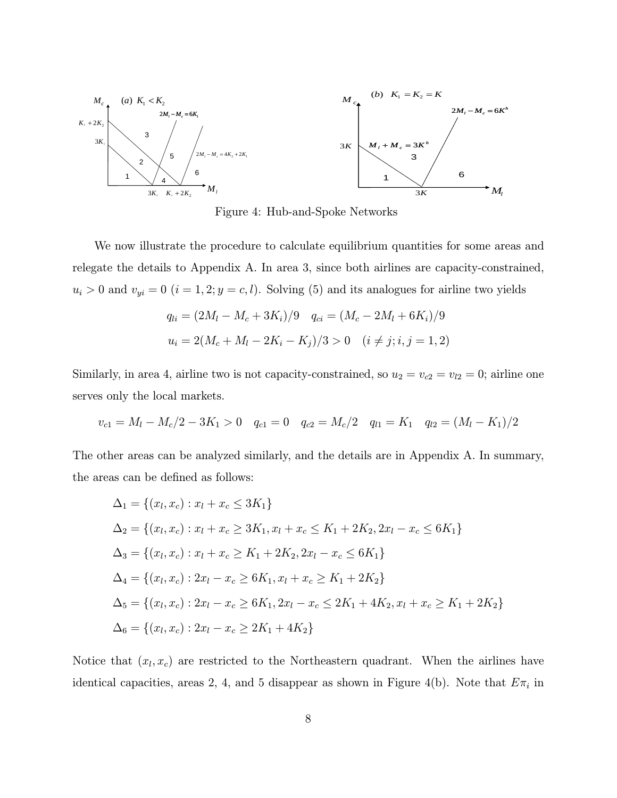

Figure 4: Hub-and-Spoke Networks

We now illustrate the procedure to calculate equilibrium quantities for some areas and relegate the details to Appendix A. In area 3, since both airlines are capacity-constrained,  $u_i > 0$  and  $v_{yi} = 0$   $(i = 1, 2; y = c, l)$ . Solving (5) and its analogues for airline two yields

$$
q_{li} = (2M_l - M_c + 3K_i)/9 \quad q_{ci} = (M_c - 2M_l + 6K_i)/9
$$
  

$$
u_i = 2(M_c + M_l - 2K_i - K_j)/3 > 0 \quad (i \neq j; i, j = 1, 2)
$$

Similarly, in area 4, airline two is not capacity-constrained, so  $u_2 = v_{c2} = v_{l2} = 0$ ; airline one serves only the local markets.

$$
v_{c1} = M_l - M_c/2 - 3K_1 > 0 \quad q_{c1} = 0 \quad q_{c2} = M_c/2 \quad q_{l1} = K_1 \quad q_{l2} = (M_l - K_1)/2
$$

The other areas can be analyzed similarly, and the details are in Appendix A. In summary, the areas can be defined as follows:

$$
\Delta_1 = \{(x_l, x_c) : x_l + x_c \le 3K_1\}
$$
  
\n
$$
\Delta_2 = \{(x_l, x_c) : x_l + x_c \ge 3K_1, x_l + x_c \le K_1 + 2K_2, 2x_l - x_c \le 6K_1\}
$$
  
\n
$$
\Delta_3 = \{(x_l, x_c) : x_l + x_c \ge K_1 + 2K_2, 2x_l - x_c \le 6K_1\}
$$
  
\n
$$
\Delta_4 = \{(x_l, x_c) : 2x_l - x_c \ge 6K_1, x_l + x_c \ge K_1 + 2K_2\}
$$
  
\n
$$
\Delta_5 = \{(x_l, x_c) : 2x_l - x_c \ge 6K_1, 2x_l - x_c \le 2K_1 + 4K_2, x_l + x_c \ge K_1 + 2K_2\}
$$
  
\n
$$
\Delta_6 = \{(x_l, x_c) : 2x_l - x_c \ge 2K_1 + 4K_2\}
$$

Notice that  $(x_l, x_c)$  are restricted to the Northeastern quadrant. When the airlines have identical capacities, areas 2, 4, and 5 disappear as shown in Figure 4(b). Note that  $E\pi_i$  in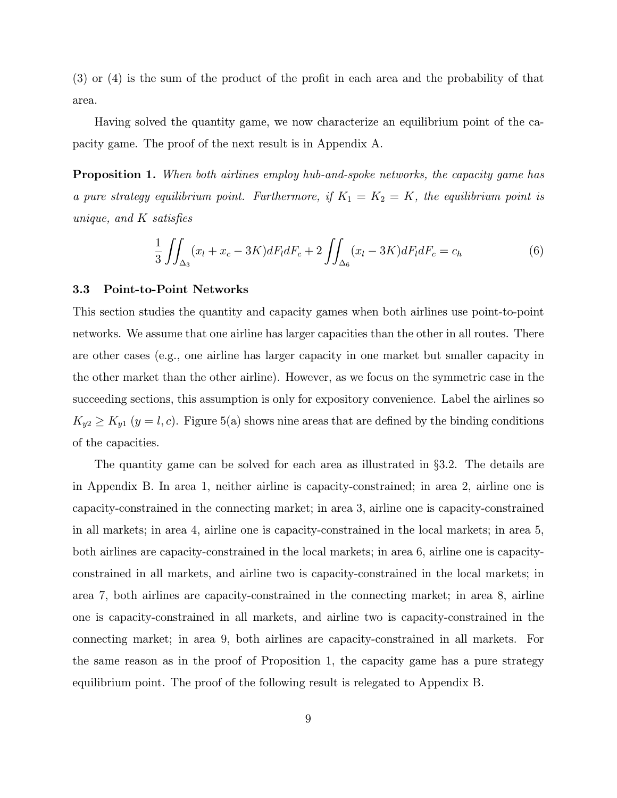(3) or (4) is the sum of the product of the profit in each area and the probability of that area.

Having solved the quantity game, we now characterize an equilibrium point of the capacity game. The proof of the next result is in Appendix A.

Proposition 1. When both airlines employ hub-and-spoke networks, the capacity game has a pure strategy equilibrium point. Furthermore, if  $K_1 = K_2 = K$ , the equilibrium point is unique, and K satisfies

$$
\frac{1}{3} \iint_{\Delta_3} (x_l + x_c - 3K) dF_l dF_c + 2 \iint_{\Delta_6} (x_l - 3K) dF_l dF_c = c_h \tag{6}
$$

#### 3.3 Point-to-Point Networks

This section studies the quantity and capacity games when both airlines use point-to-point networks. We assume that one airline has larger capacities than the other in all routes. There are other cases (e.g., one airline has larger capacity in one market but smaller capacity in the other market than the other airline). However, as we focus on the symmetric case in the succeeding sections, this assumption is only for expository convenience. Label the airlines so  $K_{y2} \ge K_{y1}$   $(y = l, c)$ . Figure 5(a) shows nine areas that are defined by the binding conditions of the capacities.

The quantity game can be solved for each area as illustrated in §3.2. The details are in Appendix B. In area 1, neither airline is capacity-constrained; in area 2, airline one is capacity-constrained in the connecting market; in area 3, airline one is capacity-constrained in all markets; in area 4, airline one is capacity-constrained in the local markets; in area 5, both airlines are capacity-constrained in the local markets; in area 6, airline one is capacityconstrained in all markets, and airline two is capacity-constrained in the local markets; in area 7, both airlines are capacity-constrained in the connecting market; in area 8, airline one is capacity-constrained in all markets, and airline two is capacity-constrained in the connecting market; in area 9, both airlines are capacity-constrained in all markets. For the same reason as in the proof of Proposition 1, the capacity game has a pure strategy equilibrium point. The proof of the following result is relegated to Appendix B.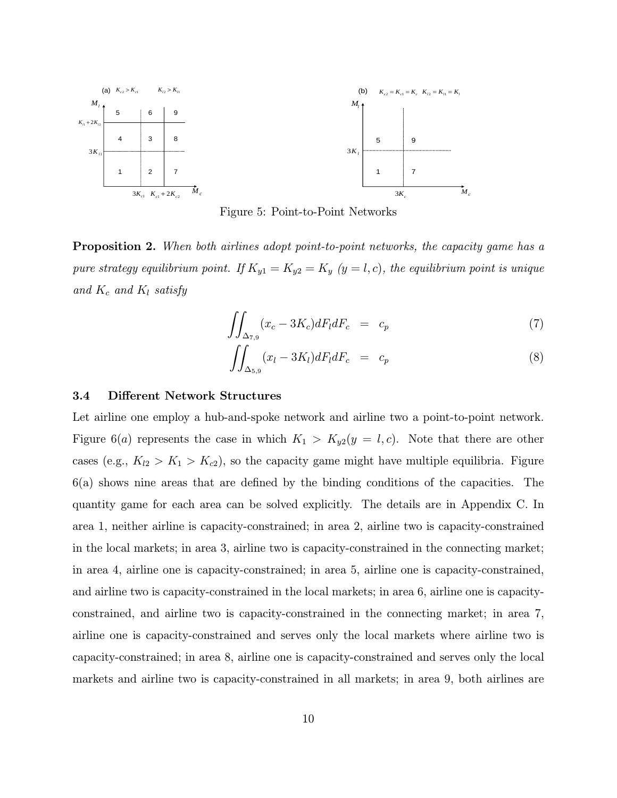

Figure 5: Point-to-Point Networks

**Proposition 2.** When both airlines adopt point-to-point networks, the capacity game has a pure strategy equilibrium point. If  $K_{y1} = K_{y2} = K_y$  (y = l, c), the equilibrium point is unique and  $K_c$  and  $K_l$  satisfy

$$
\iint_{\Delta_{7,9}} (x_c - 3K_c) dF_l dF_c = c_p \tag{7}
$$

$$
\iint_{\Delta_{5,9}} (x_l - 3K_l) dF_l dF_c = c_p \tag{8}
$$

### 3.4 Different Network Structures

Let airline one employ a hub-and-spoke network and airline two a point-to-point network. Figure 6(a) represents the case in which  $K_1 > K_{y2}(y = l, c)$ . Note that there are other cases (e.g.,  $K_{12} > K_1 > K_{c2}$ ), so the capacity game might have multiple equilibria. Figure 6(a) shows nine areas that are defined by the binding conditions of the capacities. The quantity game for each area can be solved explicitly. The details are in Appendix C. In area 1, neither airline is capacity-constrained; in area 2, airline two is capacity-constrained in the local markets; in area 3, airline two is capacity-constrained in the connecting market; in area 4, airline one is capacity-constrained; in area 5, airline one is capacity-constrained, and airline two is capacity-constrained in the local markets; in area 6, airline one is capacityconstrained, and airline two is capacity-constrained in the connecting market; in area 7, airline one is capacity-constrained and serves only the local markets where airline two is capacity-constrained; in area 8, airline one is capacity-constrained and serves only the local markets and airline two is capacity-constrained in all markets; in area 9, both airlines are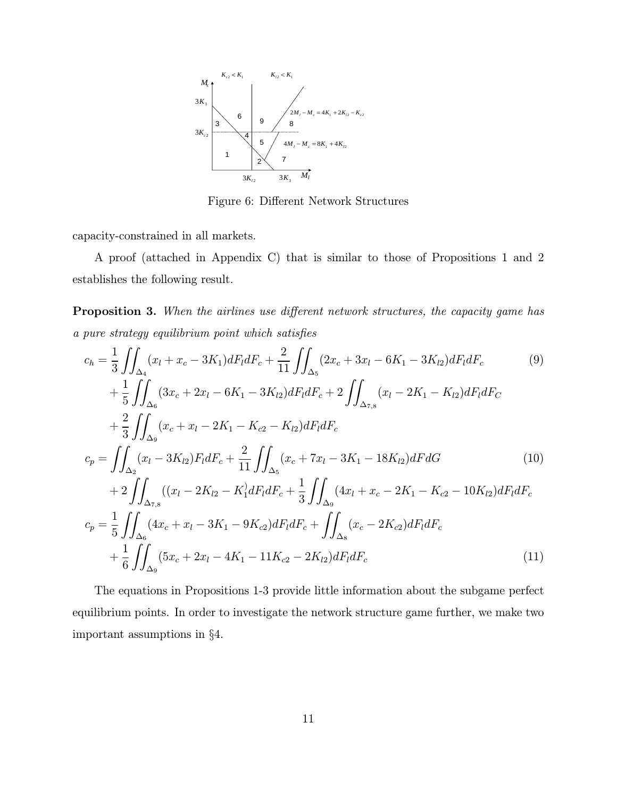

Figure 6: Different Network Structures

capacity-constrained in all markets.

A proof (attached in Appendix C) that is similar to those of Propositions 1 and 2 establishes the following result.

Proposition 3. When the airlines use different network structures, the capacity game has a pure strategy equilibrium point which satisfies

$$
c_{h} = \frac{1}{3} \iint_{\Delta_{4}} (x_{l} + x_{c} - 3K_{1}) dF_{l} dF_{c} + \frac{2}{11} \iint_{\Delta_{5}} (2x_{c} + 3x_{l} - 6K_{1} - 3K_{l2}) dF_{l} dF_{c} \qquad (9)
$$
  
+ 
$$
\frac{1}{5} \iint_{\Delta_{6}} (3x_{c} + 2x_{l} - 6K_{1} - 3K_{l2}) dF_{l} dF_{c} + 2 \iint_{\Delta_{7,8}} (x_{l} - 2K_{1} - K_{l2}) dF_{l} dF_{C}
$$
  
+ 
$$
\frac{2}{3} \iint_{\Delta_{9}} (x_{c} + x_{l} - 2K_{1} - K_{c2} - K_{l2}) dF_{l} dF_{c}
$$
  

$$
c_{p} = \iint_{\Delta_{2}} (x_{l} - 3K_{l2}) F_{l} dF_{c} + \frac{2}{11} \iint_{\Delta_{5}} (x_{c} + 7x_{l} - 3K_{1} - 18K_{l2}) dF dG \qquad (10)
$$
  
+ 
$$
2 \iint_{\Delta_{7,8}} ((x_{l} - 2K_{l2} - K_{1}^{2} dF_{l} dF_{c} + \frac{1}{3} \iint_{\Delta_{9}} (4x_{l} + x_{c} - 2K_{1} - K_{c2} - 10K_{l2}) dF_{l} dF_{c}
$$
  

$$
c_{p} = \frac{1}{5} \iint_{\Delta_{6}} (4x_{c} + x_{l} - 3K_{1} - 9K_{c2}) dF_{l} dF_{c} + \iint_{\Delta_{8}} (x_{c} - 2K_{c2}) dF_{l} dF_{c}
$$
  
+ 
$$
\frac{1}{6} \iint_{\Delta_{9}} (5x_{c} + 2x_{l} - 4K_{1} - 11K_{c2} - 2K_{l2}) dF_{l} dF_{c}
$$
  
(11)

The equations in Propositions 1-3 provide little information about the subgame perfect equilibrium points. In order to investigate the network structure game further, we make two important assumptions in §4.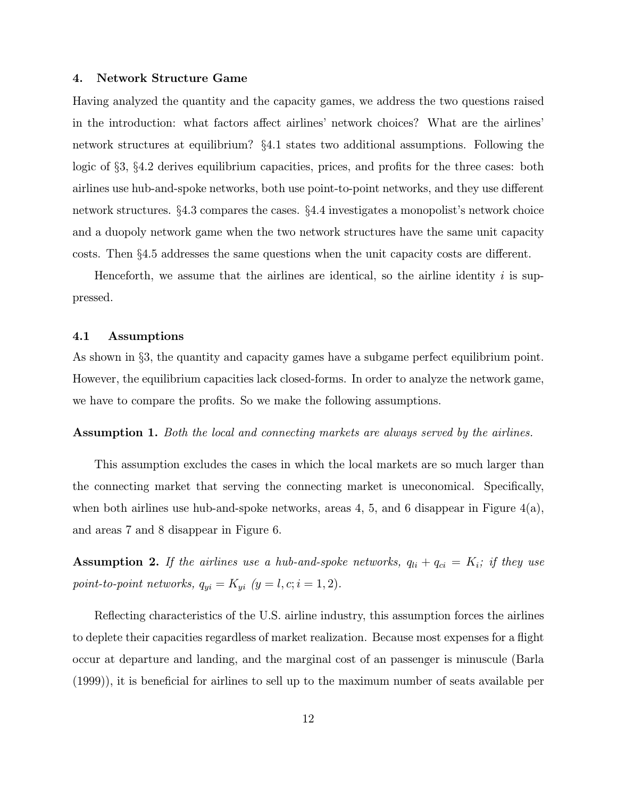### 4. Network Structure Game

Having analyzed the quantity and the capacity games, we address the two questions raised in the introduction: what factors affect airlines' network choices? What are the airlines' network structures at equilibrium? §4.1 states two additional assumptions. Following the logic of §3, §4.2 derives equilibrium capacities, prices, and profits for the three cases: both airlines use hub-and-spoke networks, both use point-to-point networks, and they use different network structures. §4.3 compares the cases. §4.4 investigates a monopolist's network choice and a duopoly network game when the two network structures have the same unit capacity costs. Then §4.5 addresses the same questions when the unit capacity costs are different.

Henceforth, we assume that the airlines are identical, so the airline identity  $i$  is suppressed.

### 4.1 Assumptions

As shown in §3, the quantity and capacity games have a subgame perfect equilibrium point. However, the equilibrium capacities lack closed-forms. In order to analyze the network game, we have to compare the profits. So we make the following assumptions.

Assumption 1. Both the local and connecting markets are always served by the airlines.

This assumption excludes the cases in which the local markets are so much larger than the connecting market that serving the connecting market is uneconomical. Specifically, when both airlines use hub-and-spoke networks, areas 4, 5, and 6 disappear in Figure  $4(a)$ , and areas 7 and 8 disappear in Figure 6.

**Assumption 2.** If the airlines use a hub-and-spoke networks,  $q_{li} + q_{ci} = K_i$ ; if they use point-to-point networks,  $q_{yi} = K_{yi}$   $(y = l, c; i = 1, 2)$ .

Reflecting characteristics of the U.S. airline industry, this assumption forces the airlines to deplete their capacities regardless of market realization. Because most expenses for a flight occur at departure and landing, and the marginal cost of an passenger is minuscule (Barla (1999)), it is beneficial for airlines to sell up to the maximum number of seats available per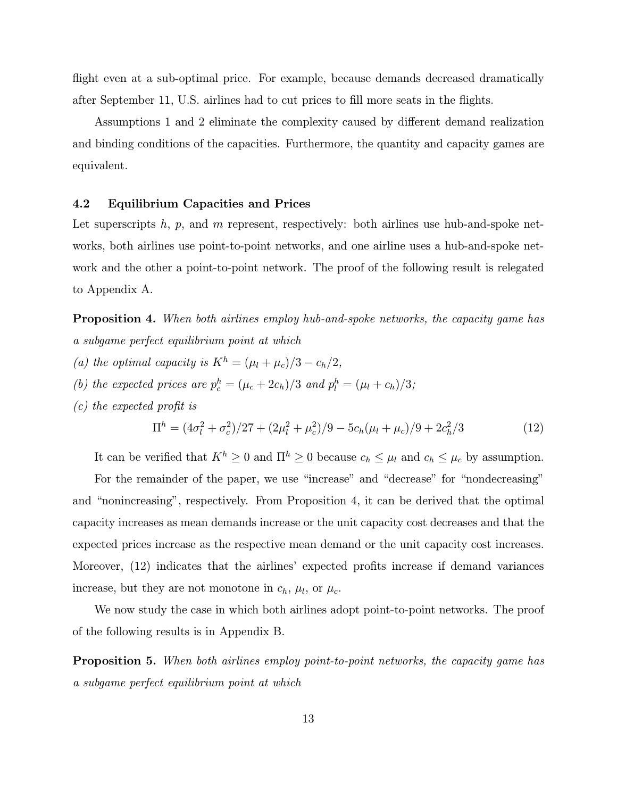flight even at a sub-optimal price. For example, because demands decreased dramatically after September 11, U.S. airlines had to cut prices to fill more seats in the flights.

Assumptions 1 and 2 eliminate the complexity caused by different demand realization and binding conditions of the capacities. Furthermore, the quantity and capacity games are equivalent.

### 4.2 Equilibrium Capacities and Prices

Let superscripts h, p, and m represent, respectively: both airlines use hub-and-spoke networks, both airlines use point-to-point networks, and one airline uses a hub-and-spoke network and the other a point-to-point network. The proof of the following result is relegated to Appendix A.

Proposition 4. When both airlines employ hub-and-spoke networks, the capacity game has a subgame perfect equilibrium point at which

- (a) the optimal capacity is  $K^h = (\mu_l + \mu_c)/3 c_h/2$ ,
- (b) the expected prices are  $p_c^h = (\mu_c + 2c_h)/3$  and  $p_l^h = (\mu_l + c_h)/3$ ;
- (c) the expected profit is

$$
\Pi^{h} = (4\sigma_l^2 + \sigma_c^2)/27 + (2\mu_l^2 + \mu_c^2)/9 - 5c_h(\mu_l + \mu_c)/9 + 2c_h^2/3
$$
\n(12)

It can be verified that  $K^h \ge 0$  and  $\Pi^h \ge 0$  because  $c_h \le \mu_l$  and  $c_h \le \mu_c$  by assumption.

For the remainder of the paper, we use "increase" and "decrease" for "nondecreasing" and "nonincreasing", respectively. From Proposition 4, it can be derived that the optimal capacity increases as mean demands increase or the unit capacity cost decreases and that the expected prices increase as the respective mean demand or the unit capacity cost increases. Moreover, (12) indicates that the airlines' expected profits increase if demand variances increase, but they are not monotone in  $c_h$ ,  $\mu_l$ , or  $\mu_c$ .

We now study the case in which both airlines adopt point-to-point networks. The proof of the following results is in Appendix B.

Proposition 5. When both airlines employ point-to-point networks, the capacity game has a subgame perfect equilibrium point at which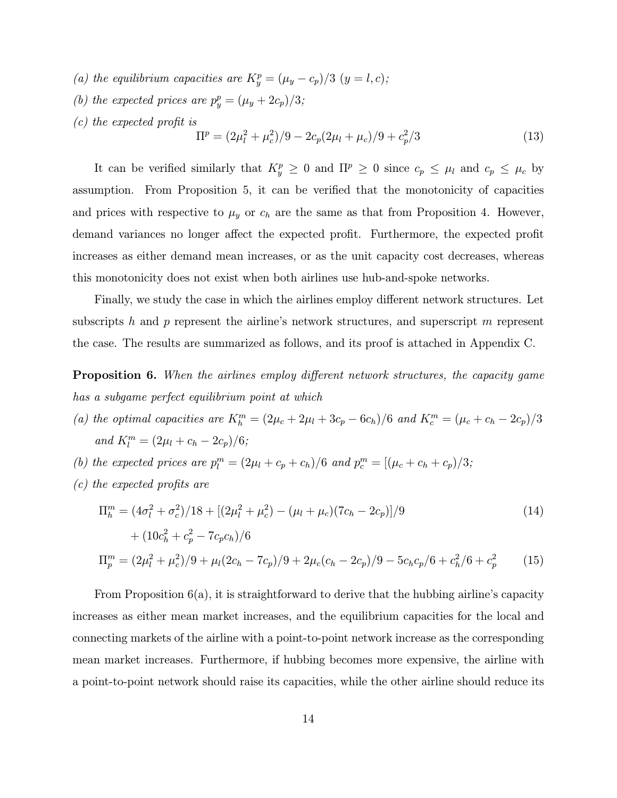- (a) the equilibrium capacities are  $K_y^p = (\mu_y c_p)/3$   $(y = l, c)$ ;
- (b) the expected prices are  $p_y^p = (\mu_y + 2c_p)/3;$
- (c) the expected profit is

$$
\Pi^{p} = (2\mu_{l}^{2} + \mu_{c}^{2})/9 - 2c_{p}(2\mu_{l} + \mu_{c})/9 + c_{p}^{2}/3
$$
\n(13)

It can be verified similarly that  $K_y^p \geq 0$  and  $\Pi^p \geq 0$  since  $c_p \leq \mu_l$  and  $c_p \leq \mu_c$  by assumption. From Proposition 5, it can be verified that the monotonicity of capacities and prices with respective to  $\mu_y$  or  $c_h$  are the same as that from Proposition 4. However, demand variances no longer affect the expected profit. Furthermore, the expected profit increases as either demand mean increases, or as the unit capacity cost decreases, whereas this monotonicity does not exist when both airlines use hub-and-spoke networks.

Finally, we study the case in which the airlines employ different network structures. Let subscripts h and p represent the airline's network structures, and superscript m represent the case. The results are summarized as follows, and its proof is attached in Appendix C.

**Proposition 6.** When the airlines employ different network structures, the capacity game has a subgame perfect equilibrium point at which

- (a) the optimal capacities are  $K_h^m = (2\mu_c + 2\mu_l + 3c_p 6c_h)/6$  and  $K_c^m = (\mu_c + c_h 2c_p)/3$ and  $K_l^m = (2\mu_l + c_h - 2c_p)/6;$
- (b) the expected prices are  $p_l^m = (2\mu_l + c_p + c_h)/6$  and  $p_c^m = [(\mu_c + c_h + c_p)/3;$
- (c) the expected profits are

$$
\Pi_h^m = (4\sigma_l^2 + \sigma_c^2)/18 + [(2\mu_l^2 + \mu_c^2) - (\mu_l + \mu_c)(7c_h - 2c_p)]/9
$$
\n
$$
+ (10c_h^2 + c_p^2 - 7c_p c_h)/6
$$
\n
$$
\Pi_p^m = (2\mu_l^2 + \mu_c^2)/9 + \mu_l(2c_h - 7c_p)/9 + 2\mu_c(c_h - 2c_p)/9 - 5c_h c_p/6 + c_h^2/6 + c_p^2
$$
\n(15)

From Proposition 6(a), it is straightforward to derive that the hubbing airline's capacity increases as either mean market increases, and the equilibrium capacities for the local and connecting markets of the airline with a point-to-point network increase as the corresponding mean market increases. Furthermore, if hubbing becomes more expensive, the airline with a point-to-point network should raise its capacities, while the other airline should reduce its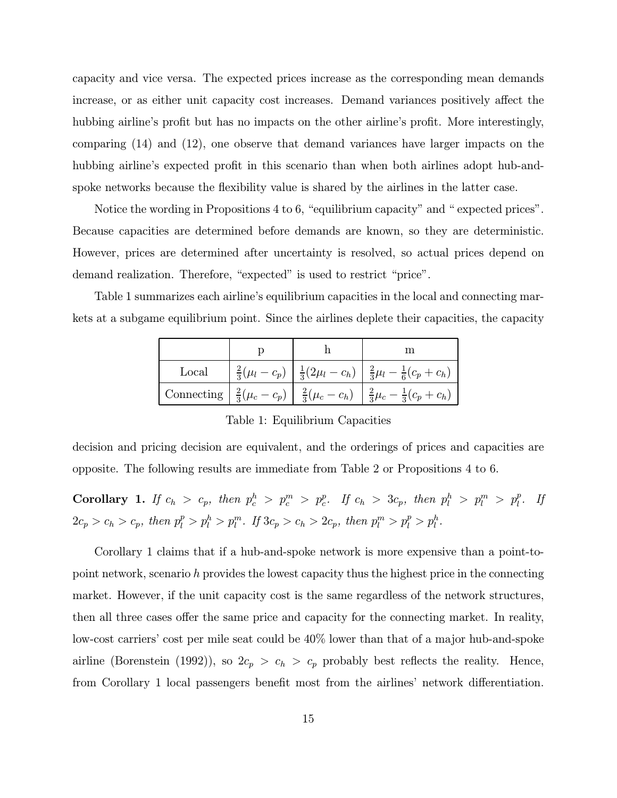capacity and vice versa. The expected prices increase as the corresponding mean demands increase, or as either unit capacity cost increases. Demand variances positively affect the hubbing airline's profit but has no impacts on the other airline's profit. More interestingly, comparing (14) and (12), one observe that demand variances have larger impacts on the hubbing airline's expected profit in this scenario than when both airlines adopt hub-andspoke networks because the flexibility value is shared by the airlines in the latter case.

Notice the wording in Propositions 4 to 6, "equilibrium capacity" and " expected prices". Because capacities are determined before demands are known, so they are deterministic. However, prices are determined after uncertainty is resolved, so actual prices depend on demand realization. Therefore, "expected" is used to restrict "price".

Table 1 summarizes each airline's equilibrium capacities in the local and connecting markets at a subgame equilibrium point. Since the airlines deplete their capacities, the capacity

|       |  | m                                                                                                            |
|-------|--|--------------------------------------------------------------------------------------------------------------|
| Local |  | $\frac{2}{3}(\mu_l-c_p)\left[\frac{1}{3}(2\mu_l-c_h)\right]\frac{2}{3}\mu_l-\frac{1}{6}(c_p+c_h)$            |
|       |  | Connecting $\frac{2}{3}(\mu_c - c_p)$ $\frac{2}{3}(\mu_c - c_h)$ $\frac{2}{3}\mu_c - \frac{1}{3}(c_p + c_h)$ |

Table 1: Equilibrium Capacities

decision and pricing decision are equivalent, and the orderings of prices and capacities are opposite. The following results are immediate from Table 2 or Propositions 4 to 6.

Corollary 1. If  $c_h > c_p$ , then  $p_c^h > p_c^m > p_c^p$ . If  $c_h > 3c_p$ , then  $p_l^h > p_l^m > p_l^p$ . If  $2c_p > c_h > c_p$ , then  $p_l^p > p_l^h > p_l^m$ . If  $3c_p > c_h > 2c_p$ , then  $p_l^m > p_l^p > p_l^h$ .

Corollary 1 claims that if a hub-and-spoke network is more expensive than a point-topoint network, scenario h provides the lowest capacity thus the highest price in the connecting market. However, if the unit capacity cost is the same regardless of the network structures, then all three cases offer the same price and capacity for the connecting market. In reality, low-cost carriers' cost per mile seat could be 40% lower than that of a major hub-and-spoke airline (Borenstein (1992)), so  $2c_p > c_h > c_p$  probably best reflects the reality. Hence, from Corollary 1 local passengers benefit most from the airlines' network differentiation.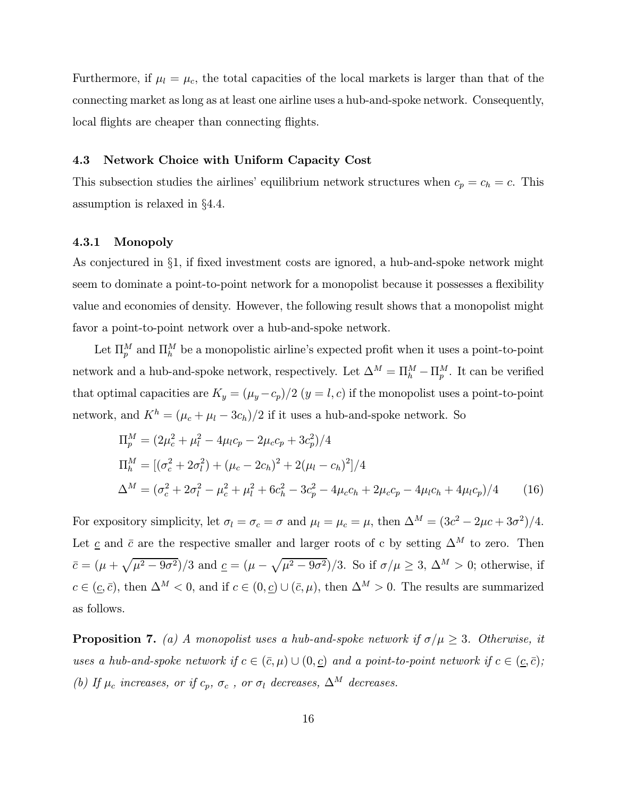Furthermore, if  $\mu_l = \mu_c$ , the total capacities of the local markets is larger than that of the connecting market as long as at least one airline uses a hub-and-spoke network. Consequently, local flights are cheaper than connecting flights.

### 4.3 Network Choice with Uniform Capacity Cost

This subsection studies the airlines' equilibrium network structures when  $c_p = c_h = c$ . This assumption is relaxed in §4.4.

### 4.3.1 Monopoly

As conjectured in §1, if fixed investment costs are ignored, a hub-and-spoke network might seem to dominate a point-to-point network for a monopolist because it possesses a flexibility value and economies of density. However, the following result shows that a monopolist might favor a point-to-point network over a hub-and-spoke network.

Let  $\Pi_p^M$  and  $\Pi_h^M$  be a monopolistic airline's expected profit when it uses a point-to-point network and a hub-and-spoke network, respectively. Let  $\Delta^M = \Pi_h^M - \Pi_p^M$ . It can be verified that optimal capacities are  $K_y = (\mu_y - c_p)/2$   $(y = l, c)$  if the monopolist uses a point-to-point network, and  $K^h = (\mu_c + \mu_l - 3c_h)/2$  if it uses a hub-and-spoke network. So

$$
\Pi_p^M = (2\mu_c^2 + \mu_l^2 - 4\mu_l c_p - 2\mu_c c_p + 3c_p^2)/4
$$
\n
$$
\Pi_h^M = [(\sigma_c^2 + 2\sigma_l^2) + (\mu_c - 2c_h)^2 + 2(\mu_l - c_h)^2]/4
$$
\n
$$
\Delta^M = (\sigma_c^2 + 2\sigma_l^2 - \mu_c^2 + \mu_l^2 + 6c_h^2 - 3c_p^2 - 4\mu_c c_h + 2\mu_c c_p - 4\mu_l c_h + 4\mu_l c_p)/4
$$
\n(16)

For expository simplicity, let  $\sigma_l = \sigma_c = \sigma$  and  $\mu_l = \mu_c = \mu$ , then  $\Delta^M = (3c^2 - 2\mu c + 3\sigma^2)/4$ . Let c and  $\bar{c}$  are the respective smaller and larger roots of c by setting  $\Delta^M$  to zero. Then  $\bar{c}=(\mu+\sqrt{\mu^2-9\sigma^2})/3$  and  $\underline{c}=(\mu-\sqrt{\mu^2-9\sigma^2})/3$ . So if  $\sigma/\mu\geq 3$ ,  $\Delta^M>0$ ; otherwise, if  $c \in (\underline{c}, \overline{c})$ , then  $\Delta^M < 0$ , and if  $c \in (0, \underline{c}) \cup (\overline{c}, \mu)$ , then  $\Delta^M > 0$ . The results are summarized as follows.

**Proposition 7.** (a) A monopolist uses a hub-and-spoke network if  $\sigma/\mu \geq 3$ . Otherwise, it uses a hub-and-spoke network if  $c \in (\bar{c}, \mu) \cup (0, \underline{c})$  and a point-to-point network if  $c \in (\underline{c}, \bar{c})$ ; (b) If  $\mu_c$  increases, or if  $c_p$ ,  $\sigma_c$ , or  $\sigma_l$  decreases,  $\Delta^M$  decreases.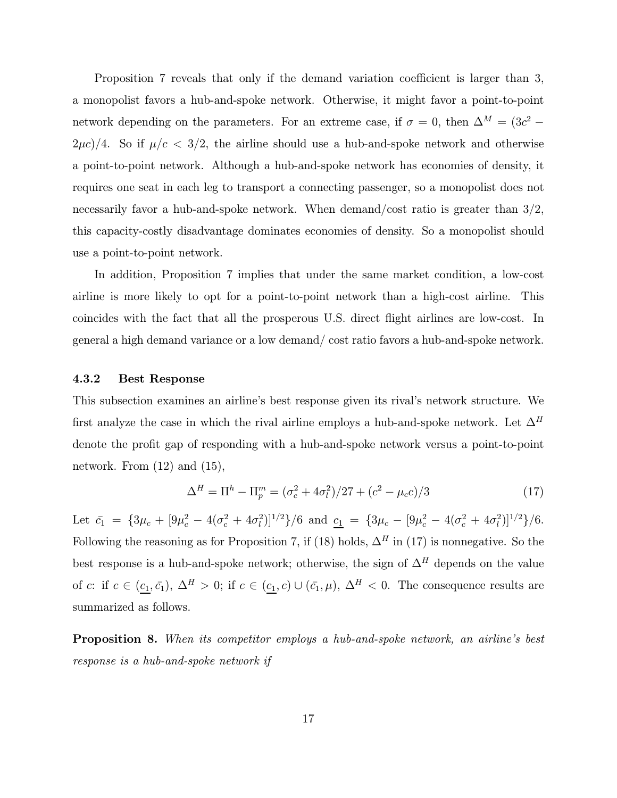Proposition 7 reveals that only if the demand variation coefficient is larger than 3, a monopolist favors a hub-and-spoke network. Otherwise, it might favor a point-to-point network depending on the parameters. For an extreme case, if  $\sigma = 0$ , then  $\Delta^M = (3c^2 (2\mu c)/4$ . So if  $\mu/c < 3/2$ , the airline should use a hub-and-spoke network and otherwise a point-to-point network. Although a hub-and-spoke network has economies of density, it requires one seat in each leg to transport a connecting passenger, so a monopolist does not necessarily favor a hub-and-spoke network. When demand/cost ratio is greater than  $3/2$ , this capacity-costly disadvantage dominates economies of density. So a monopolist should use a point-to-point network.

In addition, Proposition 7 implies that under the same market condition, a low-cost airline is more likely to opt for a point-to-point network than a high-cost airline. This coincides with the fact that all the prosperous U.S. direct flight airlines are low-cost. In general a high demand variance or a low demand/ cost ratio favors a hub-and-spoke network.

### 4.3.2 Best Response

This subsection examines an airline's best response given its rival's network structure. We first analyze the case in which the rival airline employs a hub-and-spoke network. Let  $\Delta^H$ denote the profit gap of responding with a hub-and-spoke network versus a point-to-point network. From  $(12)$  and  $(15)$ ,

$$
\Delta^H = \Pi^h - \Pi_p^m = (\sigma_c^2 + 4\sigma_l^2)/27 + (c^2 - \mu_c c)/3 \tag{17}
$$

Let  $\bar{c}_1 = \{3\mu_c + [9\mu_c^2 - 4(\sigma_c^2 + 4\sigma_l^2)]^{1/2}\}/6$  and  $\underline{c}_1 = \{3\mu_c - [9\mu_c^2 - 4(\sigma_c^2 + 4\sigma_l^2)]^{1/2}\}/6$ . Following the reasoning as for Proposition 7, if (18) holds,  $\Delta^H$  in (17) is nonnegative. So the best response is a hub-and-spoke network; otherwise, the sign of  $\Delta^H$  depends on the value of c: if  $c \in (\underline{c_1}, \overline{c_1})$ ,  $\Delta^H > 0$ ; if  $c \in (\underline{c_1}, c) \cup (\overline{c_1}, \mu)$ ,  $\Delta^H < 0$ . The consequence results are summarized as follows.

Proposition 8. When its competitor employs a hub-and-spoke network, an airline's best response is a hub-and-spoke network if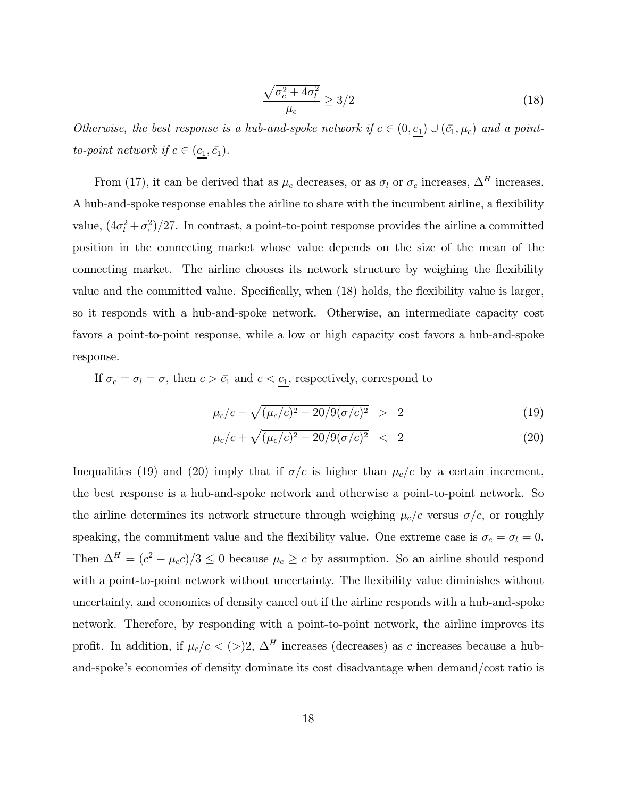$$
\frac{\sqrt{\sigma_c^2 + 4\sigma_l^2}}{\mu_c} \ge 3/2\tag{18}
$$

Otherwise, the best response is a hub-and-spoke network if  $c \in (0, \underline{c_1}) \cup (\bar{c_1}, \mu_c)$  and a pointto-point network if  $c \in (\underline{c_1}, \overline{c_1})$ .

From (17), it can be derived that as  $\mu_c$  decreases, or as  $\sigma_l$  or  $\sigma_c$  increases,  $\Delta^H$  increases. A hub-and-spoke response enables the airline to share with the incumbent airline, a flexibility value,  $(4\sigma_l^2 + \sigma_c^2)/27$ . In contrast, a point-to-point response provides the airline a committed position in the connecting market whose value depends on the size of the mean of the connecting market. The airline chooses its network structure by weighing the flexibility value and the committed value. Specifically, when (18) holds, the flexibility value is larger, so it responds with a hub-and-spoke network. Otherwise, an intermediate capacity cost favors a point-to-point response, while a low or high capacity cost favors a hub-and-spoke response.

If  $\sigma_c = \sigma_l = \sigma$ , then  $c > \bar{c_1}$  and  $c < \underline{c_1}$ , respectively, correspond to

$$
\mu_c/c - \sqrt{(\mu_c/c)^2 - 20/9(\sigma/c)^2} > 2 \tag{19}
$$

$$
\mu_c/c + \sqrt{(\mu_c/c)^2 - 20/9(\sigma/c)^2} \quad < \quad 2 \tag{20}
$$

Inequalities (19) and (20) imply that if  $\sigma/c$  is higher than  $\mu_c/c$  by a certain increment, the best response is a hub-and-spoke network and otherwise a point-to-point network. So the airline determines its network structure through weighing  $\mu_c/c$  versus  $\sigma/c$ , or roughly speaking, the commitment value and the flexibility value. One extreme case is  $\sigma_c = \sigma_l = 0$ . Then  $\Delta^H = (c^2 - \mu_c c)/3 \le 0$  because  $\mu_c \ge c$  by assumption. So an airline should respond with a point-to-point network without uncertainty. The flexibility value diminishes without uncertainty, and economies of density cancel out if the airline responds with a hub-and-spoke network. Therefore, by responding with a point-to-point network, the airline improves its profit. In addition, if  $\mu_c/c < (>)2, \Delta^H$  increases (decreases) as c increases because a huband-spoke's economies of density dominate its cost disadvantage when demand/cost ratio is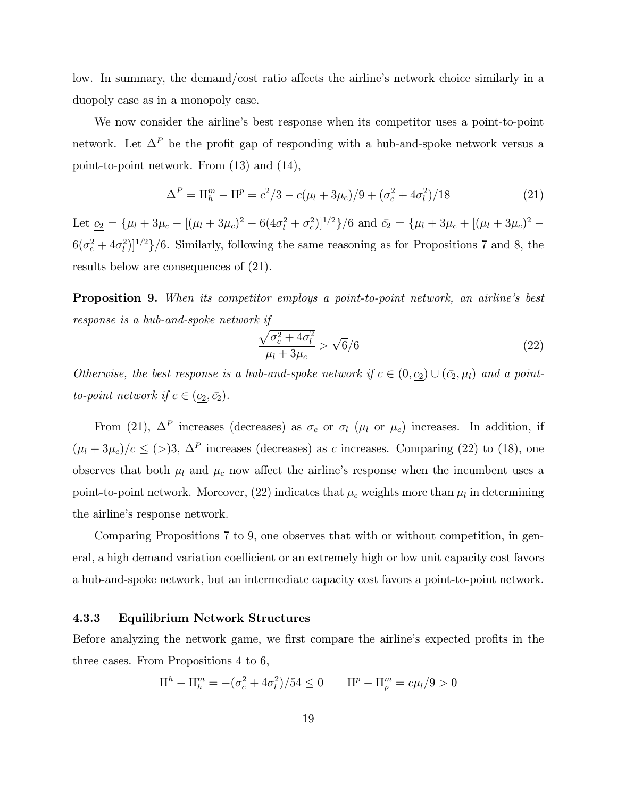low. In summary, the demand/cost ratio affects the airline's network choice similarly in a duopoly case as in a monopoly case.

We now consider the airline's best response when its competitor uses a point-to-point network. Let  $\Delta^P$  be the profit gap of responding with a hub-and-spoke network versus a point-to-point network. From (13) and (14),

$$
\Delta^P = \Pi_h^m - \Pi^p = c^2/3 - c(\mu_l + 3\mu_c)/9 + (\sigma_c^2 + 4\sigma_l^2)/18
$$
\n(21)

Let  $\underline{c_2} = {\mu_l + 3\mu_c - [(\mu_l + 3\mu_c)^2 - 6(4\sigma_l^2 + \sigma_c^2)]^{1/2}}/\frac{6}{\sigma^2}$  and  $\overline{c_2} = {\mu_l + 3\mu_c + [(\mu_l + 3\mu_c)^2 6(\sigma_c^2 + 4\sigma_l^2)]^{1/2}$ /6. Similarly, following the same reasoning as for Propositions 7 and 8, the results below are consequences of (21).

Proposition 9. When its competitor employs a point-to-point network, an airline's best response is a hub-and-spoke network if

$$
\frac{\sqrt{\sigma_c^2 + 4\sigma_l^2}}{\mu_l + 3\mu_c} > \sqrt{6}/6\tag{22}
$$

Otherwise, the best response is a hub-and-spoke network if  $c \in (0, \underline{c_2}) \cup (\bar{c_2}, \mu_l)$  and a pointto-point network if  $c \in (\underline{c_2}, \bar{c_2})$ .

From (21),  $\Delta^P$  increases (decreases) as  $\sigma_c$  or  $\sigma_l$  ( $\mu_l$  or  $\mu_c$ ) increases. In addition, if  $(\mu_l + 3\mu_c)/c \leq (>)3$ ,  $\Delta^P$  increases (decreases) as c increases. Comparing (22) to (18), one observes that both  $\mu_l$  and  $\mu_c$  now affect the airline's response when the incumbent uses a point-to-point network. Moreover, (22) indicates that  $\mu_c$  weights more than  $\mu_l$  in determining the airline's response network.

Comparing Propositions 7 to 9, one observes that with or without competition, in general, a high demand variation coefficient or an extremely high or low unit capacity cost favors a hub-and-spoke network, but an intermediate capacity cost favors a point-to-point network.

### 4.3.3 Equilibrium Network Structures

Before analyzing the network game, we first compare the airline's expected profits in the three cases. From Propositions 4 to 6,

$$
\Pi^{h} - \Pi_{h}^{m} = -(\sigma_{c}^{2} + 4\sigma_{l}^{2})/54 \le 0 \qquad \Pi^{p} - \Pi_{p}^{m} = c\mu_{l}/9 > 0
$$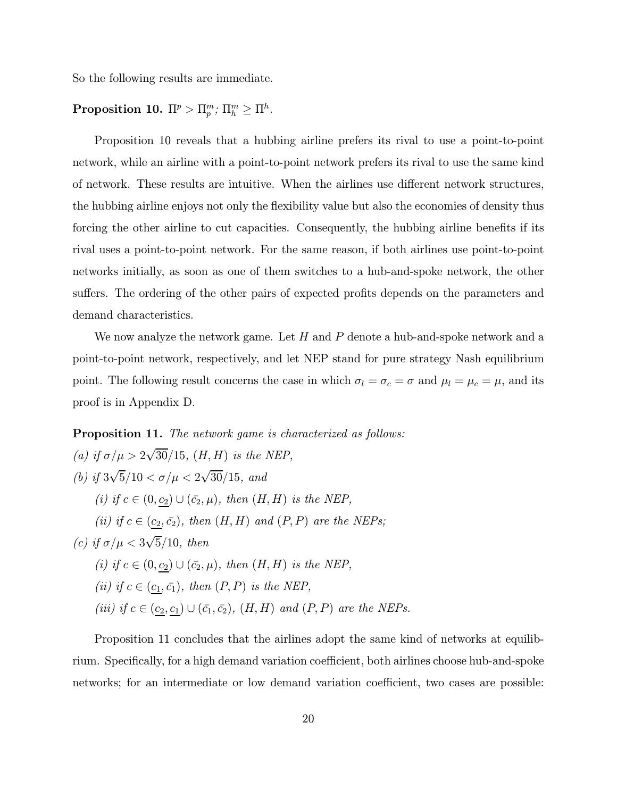So the following results are immediate.

# $\text{Proposition 10. } \Pi^p > \Pi^m_p; \, \Pi^m_h \geq \Pi^h.$

Proposition 10 reveals that a hubbing airline prefers its rival to use a point-to-point network, while an airline with a point-to-point network prefers its rival to use the same kind of network. These results are intuitive. When the airlines use different network structures, the hubbing airline enjoys not only the flexibility value but also the economies of density thus forcing the other airline to cut capacities. Consequently, the hubbing airline benefits if its rival uses a point-to-point network. For the same reason, if both airlines use point-to-point networks initially, as soon as one of them switches to a hub-and-spoke network, the other suffers. The ordering of the other pairs of expected profits depends on the parameters and demand characteristics.

We now analyze the network game. Let  $H$  and  $P$  denote a hub-and-spoke network and a point-to-point network, respectively, and let NEP stand for pure strategy Nash equilibrium point. The following result concerns the case in which  $\sigma_l = \sigma_c = \sigma$  and  $\mu_l = \mu_c = \mu$ , and its proof is in Appendix D.

### Proposition 11. The network game is characterized as follows:

\n- (a) if 
$$
\sigma/\mu > 2\sqrt{30}/15
$$
,  $(H, H)$  is the NEP,
\n- (b) if  $3\sqrt{5}/10 < \sigma/\mu < 2\sqrt{30}/15$ , and
\n- (i) if  $c \in (0, \underline{c_2}) \cup (\bar{c_2}, \mu)$ , then  $(H, H)$  is the NEP,
\n- (ii) if  $c \in (\underline{c_2}, \bar{c_2})$ , then  $(H, H)$  and  $(P, P)$  are the NEPs;
\n- (c) if  $\sigma/\mu < 3\sqrt{5}/10$ , then
\n- (i) if  $c \in (0, \underline{c_2}) \cup (\bar{c_2}, \mu)$ , then  $(H, H)$  is the NEP,
\n- (ii) if  $c \in (\underline{c_1}, \bar{c_1})$ , then  $(P, P)$  is the NEP,
\n- (iii) if  $c \in (\underline{c_2}, \underline{c_1}) \cup (\bar{c_1}, \bar{c_2})$ ,  $(H, H)$  and  $(P, P)$  are the NEPs.
\n

Proposition 11 concludes that the airlines adopt the same kind of networks at equilibrium. Specifically, for a high demand variation coefficient, both airlines choose hub-and-spoke networks; for an intermediate or low demand variation coefficient, two cases are possible: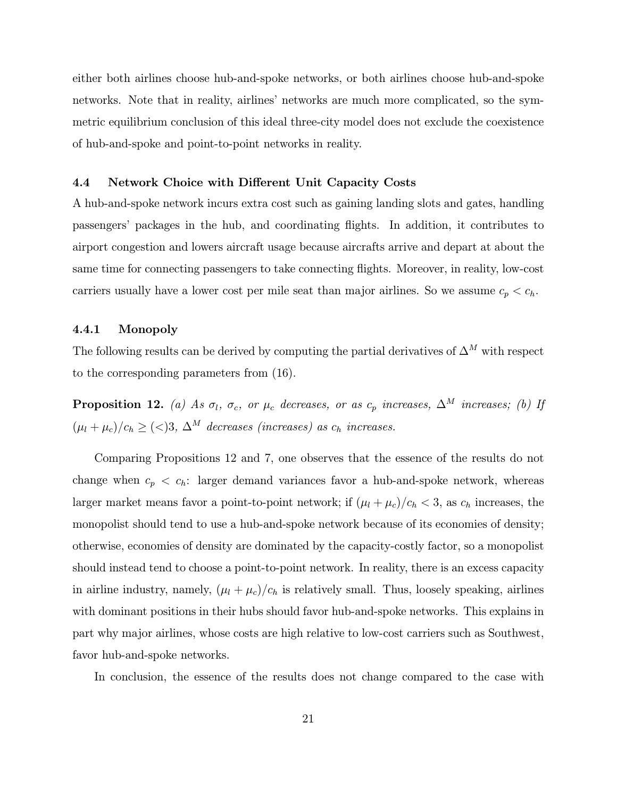either both airlines choose hub-and-spoke networks, or both airlines choose hub-and-spoke networks. Note that in reality, airlines' networks are much more complicated, so the symmetric equilibrium conclusion of this ideal three-city model does not exclude the coexistence of hub-and-spoke and point-to-point networks in reality.

### 4.4 Network Choice with Different Unit Capacity Costs

A hub-and-spoke network incurs extra cost such as gaining landing slots and gates, handling passengers' packages in the hub, and coordinating flights. In addition, it contributes to airport congestion and lowers aircraft usage because aircrafts arrive and depart at about the same time for connecting passengers to take connecting flights. Moreover, in reality, low-cost carriers usually have a lower cost per mile seat than major airlines. So we assume  $c_p < c_h$ .

### 4.4.1 Monopoly

The following results can be derived by computing the partial derivatives of  $\Delta^M$  with respect to the corresponding parameters from (16).

**Proposition 12.** (a) As  $\sigma_l$ ,  $\sigma_c$ , or  $\mu_c$  decreases, or as  $c_p$  increases,  $\Delta^M$  increases; (b) If  $(\mu_l + \mu_c)/c_h \geq \langle \langle \rangle 3, \Delta^M$  decreases (increases) as  $c_h$  increases.

Comparing Propositions 12 and 7, one observes that the essence of the results do not change when  $c_p < c_h$ : larger demand variances favor a hub-and-spoke network, whereas larger market means favor a point-to-point network; if  $(\mu_l + \mu_c)/c_h < 3$ , as  $c_h$  increases, the monopolist should tend to use a hub-and-spoke network because of its economies of density; otherwise, economies of density are dominated by the capacity-costly factor, so a monopolist should instead tend to choose a point-to-point network. In reality, there is an excess capacity in airline industry, namely,  $(\mu_l + \mu_c)/c_h$  is relatively small. Thus, loosely speaking, airlines with dominant positions in their hubs should favor hub-and-spoke networks. This explains in part why major airlines, whose costs are high relative to low-cost carriers such as Southwest, favor hub-and-spoke networks.

In conclusion, the essence of the results does not change compared to the case with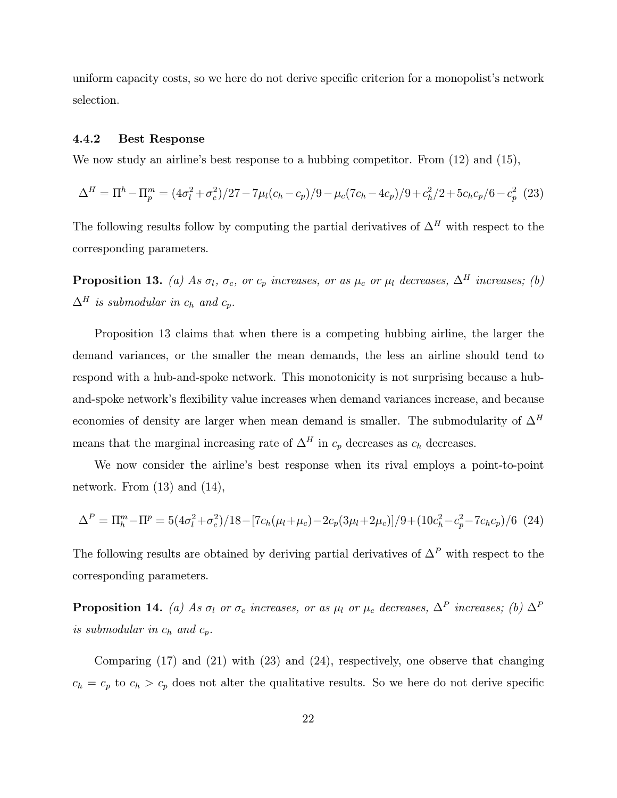uniform capacity costs, so we here do not derive specific criterion for a monopolist's network selection.

### 4.4.2 Best Response

We now study an airline's best response to a hubbing competitor. From  $(12)$  and  $(15)$ ,

$$
\Delta^H = \Pi^h - \Pi_p^m = (4\sigma_l^2 + \sigma_c^2)/27 - 7\mu_l(c_h - c_p)/9 - \mu_c(7c_h - 4c_p)/9 + c_h^2/2 + 5c_hc_p/6 - c_p^2
$$
 (23)

The following results follow by computing the partial derivatives of  $\Delta^H$  with respect to the corresponding parameters.

**Proposition 13.** (a) As  $\sigma_l$ ,  $\sigma_c$ , or  $c_p$  increases, or as  $\mu_c$  or  $\mu_l$  decreases,  $\Delta^H$  increases; (b)  $\Delta^H$  is submodular in  $c_h$  and  $c_p$ .

Proposition 13 claims that when there is a competing hubbing airline, the larger the demand variances, or the smaller the mean demands, the less an airline should tend to respond with a hub-and-spoke network. This monotonicity is not surprising because a huband-spoke network's flexibility value increases when demand variances increase, and because economies of density are larger when mean demand is smaller. The submodularity of  $\Delta^H$ means that the marginal increasing rate of  $\Delta^H$  in  $c_p$  decreases as  $c_h$  decreases.

We now consider the airline's best response when its rival employs a point-to-point network. From (13) and (14),

$$
\Delta^P = \Pi_h^m - \Pi^P = 5(4\sigma_l^2 + \sigma_c^2)/18 - [7c_h(\mu_l + \mu_c) - 2c_p(3\mu_l + 2\mu_c)]/9 + (10c_h^2 - c_p^2 - 7c_hc_p)/6 \tag{24}
$$

The following results are obtained by deriving partial derivatives of  $\Delta^P$  with respect to the corresponding parameters.

**Proposition 14.** (a) As  $\sigma_l$  or  $\sigma_c$  increases, or as  $\mu_l$  or  $\mu_c$  decreases,  $\Delta^P$  increases; (b)  $\Delta^P$ is submodular in  $c_h$  and  $c_p$ .

Comparing (17) and (21) with (23) and (24), respectively, one observe that changing  $c_h = c_p$  to  $c_h > c_p$  does not alter the qualitative results. So we here do not derive specific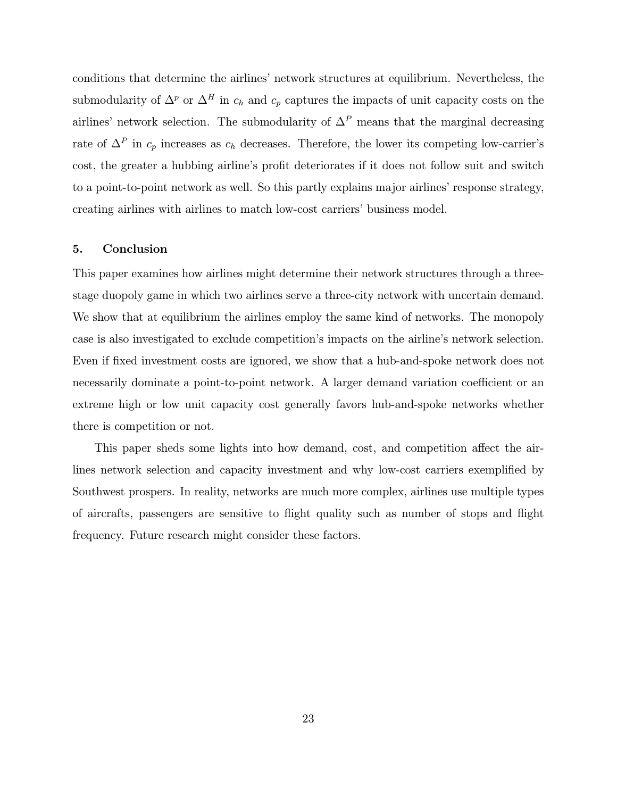conditions that determine the airlines' network structures at equilibrium. Nevertheless, the submodularity of  $\Delta^p$  or  $\Delta^H$  in  $c_h$  and  $c_p$  captures the impacts of unit capacity costs on the airlines' network selection. The submodularity of  $\Delta^P$  means that the marginal decreasing rate of  $\Delta^P$  in  $c_p$  increases as  $c_h$  decreases. Therefore, the lower its competing low-carrier's cost, the greater a hubbing airline's profit deteriorates if it does not follow suit and switch to a point-to-point network as well. So this partly explains major airlines' response strategy, creating airlines with airlines to match low-cost carriers' business model.

### 5. Conclusion

This paper examines how airlines might determine their network structures through a threestage duopoly game in which two airlines serve a three-city network with uncertain demand. We show that at equilibrium the airlines employ the same kind of networks. The monopoly case is also investigated to exclude competition's impacts on the airline's network selection. Even if fixed investment costs are ignored, we show that a hub-and-spoke network does not necessarily dominate a point-to-point network. A larger demand variation coefficient or an extreme high or low unit capacity cost generally favors hub-and-spoke networks whether there is competition or not.

This paper sheds some lights into how demand, cost, and competition affect the airlines network selection and capacity investment and why low-cost carriers exemplified by Southwest prospers. In reality, networks are much more complex, airlines use multiple types of aircrafts, passengers are sensitive to flight quality such as number of stops and flight frequency. Future research might consider these factors.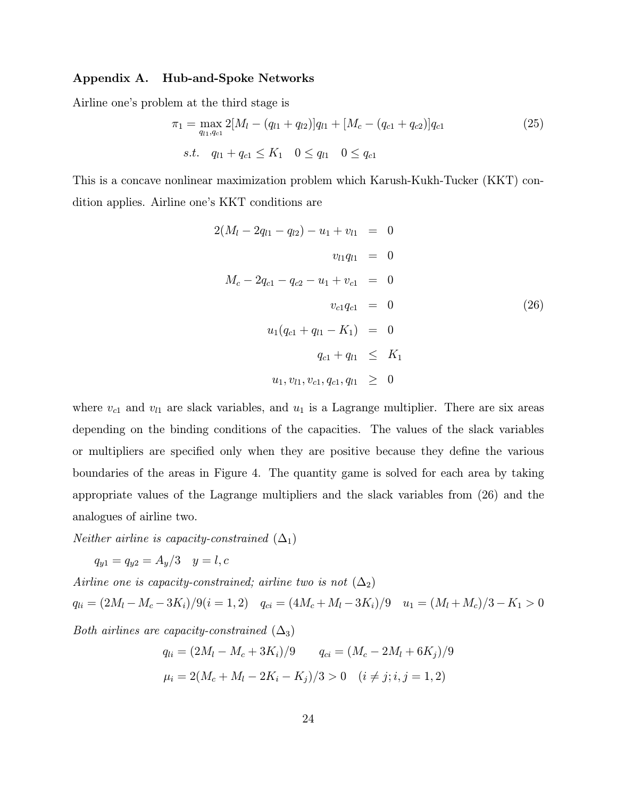### Appendix A. Hub-and-Spoke Networks

Airline one's problem at the third stage is

$$
\pi_1 = \max_{q_{l1}, q_{c1}} 2[M_l - (q_{l1} + q_{l2})]q_{l1} + [M_c - (q_{c1} + q_{c2})]q_{c1}
$$
\n
$$
s.t. \quad q_{l1} + q_{c1} \le K_1 \quad 0 \le q_{l1} \quad 0 \le q_{c1}
$$
\n
$$
(25)
$$

This is a concave nonlinear maximization problem which Karush-Kukh-Tucker (KKT) condition applies. Airline one's KKT conditions are

$$
2(M_{l} - 2q_{l1} - q_{l2}) - u_{1} + v_{l1} = 0
$$
  
\n
$$
v_{l1}q_{l1} = 0
$$
  
\n
$$
M_{c} - 2q_{c1} - q_{c2} - u_{1} + v_{c1} = 0
$$
  
\n
$$
v_{c1}q_{c1} = 0
$$
  
\n
$$
u_{1}(q_{c1} + q_{l1} - K_{1}) = 0
$$
  
\n
$$
q_{c1} + q_{l1} \leq K_{1}
$$
  
\n
$$
u_{1}, v_{l1}, v_{c1}, q_{c1}, q_{l1} \geq 0
$$
  
\n(26)

where  $v_{c1}$  and  $v_{l1}$  are slack variables, and  $u_1$  is a Lagrange multiplier. There are six areas depending on the binding conditions of the capacities. The values of the slack variables or multipliers are specified only when they are positive because they define the various boundaries of the areas in Figure 4. The quantity game is solved for each area by taking appropriate values of the Lagrange multipliers and the slack variables from (26) and the analogues of airline two.

*Neither airline is capacity-constrained*  $(\Delta_1)$ 

 $q_{y1} = q_{y2} = A_y/3 \quad y = l, c$ 

Airline one is capacity-constrained; airline two is not  $(\Delta_2)$  $q_{li} = (2M_l - M_c - 3K_i)/9(i = 1, 2)$   $q_{ci} = (4M_c + M_l - 3K_i)/9$   $u_1 = (M_l + M_c)/3 - K_1 > 0$ Both airlines are capacity-constrained  $(\Delta_3)$ 

$$
q_{li} = (2M_l - M_c + 3K_i)/9 \qquad q_{ci} = (M_c - 2M_l + 6K_j)/9
$$

$$
\mu_i = 2(M_c + M_l - 2K_i - K_j)/3 > 0 \quad (i \neq j; i, j = 1, 2)
$$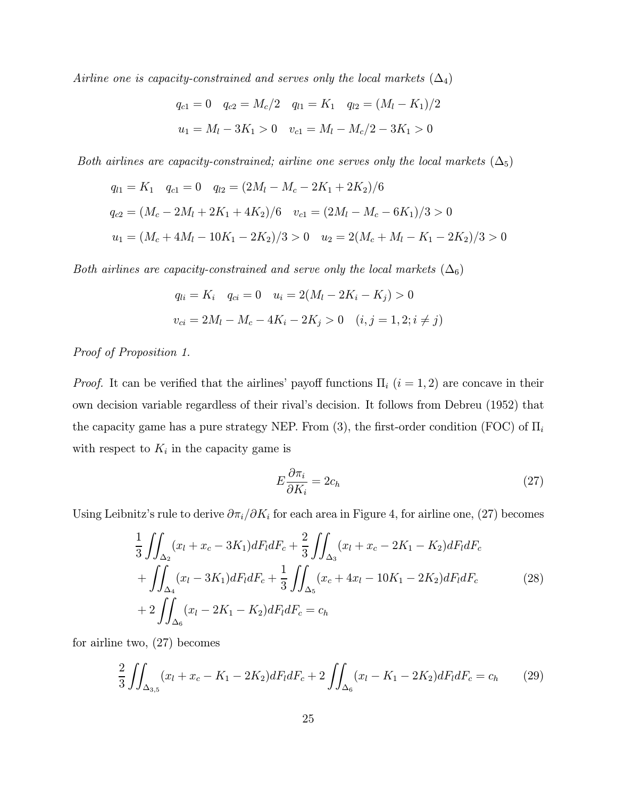Airline one is capacity-constrained and serves only the local markets  $(\Delta_4)$ 

$$
q_{c1} = 0
$$
  $q_{c2} = M_c/2$   $q_{l1} = K_1$   $q_{l2} = (M_l - K_1)/2$   
 $u_1 = M_l - 3K_1 > 0$   $v_{c1} = M_l - M_c/2 - 3K_1 > 0$ 

Both airlines are capacity-constrained; airline one serves only the local markets  $(\Delta_5)$ 

$$
q_{l1} = K_1 \t q_{c1} = 0 \t q_{l2} = (2M_l - M_c - 2K_1 + 2K_2)/6
$$
  
\n
$$
q_{c2} = (M_c - 2M_l + 2K_1 + 4K_2)/6 \t v_{c1} = (2M_l - M_c - 6K_1)/3 > 0
$$
  
\n
$$
u_1 = (M_c + 4M_l - 10K_1 - 2K_2)/3 > 0 \t u_2 = 2(M_c + M_l - K_1 - 2K_2)/3 > 0
$$

Both airlines are capacity-constrained and serve only the local markets  $(\Delta_6)$ 

$$
q_{li} = K_i \quad q_{ci} = 0 \quad u_i = 2(M_l - 2K_i - K_j) > 0
$$

$$
v_{ci} = 2M_l - M_c - 4K_i - 2K_j > 0 \quad (i, j = 1, 2; i \neq j)
$$

Proof of Proposition 1.

*Proof.* It can be verified that the airlines' payoff functions  $\Pi_i$  ( $i = 1, 2$ ) are concave in their own decision variable regardless of their rival's decision. It follows from Debreu (1952) that the capacity game has a pure strategy NEP. From (3), the first-order condition (FOC) of  $\Pi_i$ with respect to  $K_i$  in the capacity game is

$$
E\frac{\partial \pi_i}{\partial K_i} = 2c_h \tag{27}
$$

Using Leibnitz's rule to derive  $\partial \pi_i/\partial K_i$  for each area in Figure 4, for airline one, (27) becomes

$$
\frac{1}{3} \iint_{\Delta_2} (x_l + x_c - 3K_1) dF_l dF_c + \frac{2}{3} \iint_{\Delta_3} (x_l + x_c - 2K_1 - K_2) dF_l dF_c \n+ \iint_{\Delta_4} (x_l - 3K_1) dF_l dF_c + \frac{1}{3} \iint_{\Delta_5} (x_c + 4x_l - 10K_1 - 2K_2) dF_l dF_c
$$
\n
$$
+ 2 \iint_{\Delta_6} (x_l - 2K_1 - K_2) dF_l dF_c = c_h
$$
\n(28)

for airline two, (27) becomes

$$
\frac{2}{3} \iint_{\Delta_{3,5}} (x_l + x_c - K_1 - 2K_2) dF_l dF_c + 2 \iint_{\Delta_6} (x_l - K_1 - 2K_2) dF_l dF_c = c_h \tag{29}
$$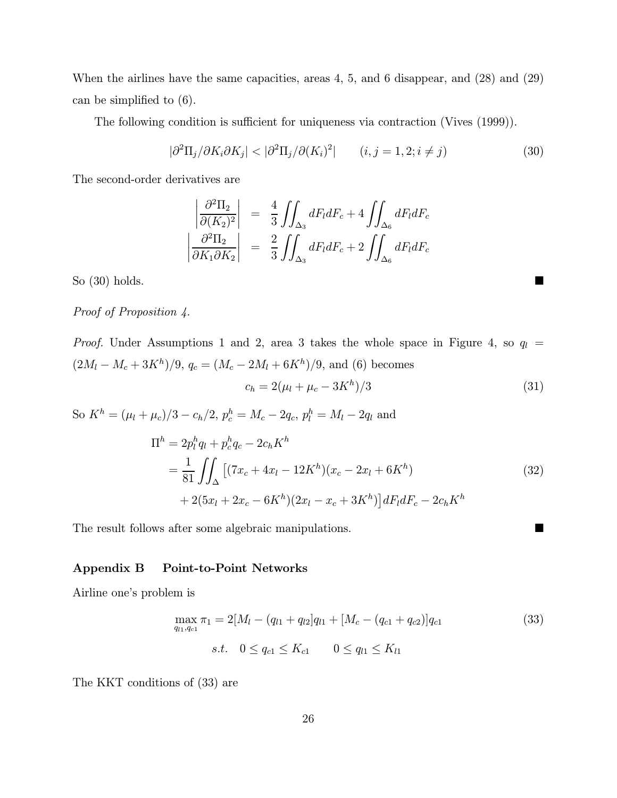When the airlines have the same capacities, areas 4, 5, and 6 disappear, and (28) and (29) can be simplified to (6).

The following condition is sufficient for uniqueness via contraction (Vives (1999)).

$$
|\partial^2 \Pi_j / \partial K_i \partial K_j| < |\partial^2 \Pi_j / \partial (K_i)^2| \qquad (i, j = 1, 2; i \neq j)
$$
\n(30)

The second-order derivatives are

$$
\begin{vmatrix}\n\frac{\partial^2 \Pi_2}{\partial (K_2)^2}\n\end{vmatrix} = \frac{4}{3} \iint_{\Delta_3} dF_l dF_c + 4 \iint_{\Delta_6} dF_l dF_c
$$
\n
$$
\begin{vmatrix}\n\frac{\partial^2 \Pi_2}{\partial K_1 \partial K_2}\n\end{vmatrix} = \frac{2}{3} \iint_{\Delta_3} dF_l dF_c + 2 \iint_{\Delta_6} dF_l dF_c
$$

So  $(30)$  holds.

# Proof of Proposition 4.

*Proof.* Under Assumptions 1 and 2, area 3 takes the whole space in Figure 4, so  $q_l$  =  $(2M_l - M_c + 3K^h)/9$ ,  $q_c = (M_c - 2M_l + 6K^h)/9$ , and (6) becomes  $c_h = 2(\mu_l + \mu_c - 3K^h)/3$  (31)

So  $K^h = (\mu_l + \mu_c)/3 - c_h/2$ ,  $p_c^h = M_c - 2q_c$ ,  $p_l^h = M_l - 2q_l$  and

$$
\Pi^{h} = 2p_{l}^{h}q_{l} + p_{c}^{h}q_{c} - 2c_{h}K^{h}
$$
\n
$$
= \frac{1}{81} \iint_{\Delta} \left[ (7x_{c} + 4x_{l} - 12K^{h})(x_{c} - 2x_{l} + 6K^{h}) + 2(5x_{l} + 2x_{c} - 6K^{h})(2x_{l} - x_{c} + 3K^{h}) \right] dF_{l}dF_{c} - 2c_{h}K^{h}
$$
\n(32)

The result follows after some algebraic manipulations.  $\blacksquare$ 

### Appendix B Point-to-Point Networks

Airline one's problem is

$$
\max_{q_{l1},q_{c1}} \pi_1 = 2[M_l - (q_{l1} + q_{l2}]q_{l1} + [M_c - (q_{c1} + q_{c2})]q_{c1}
$$
\n
$$
s.t. \quad 0 \le q_{c1} \le K_{c1} \qquad 0 \le q_{l1} \le K_{l1}
$$
\n
$$
(33)
$$

The KKT conditions of (33) are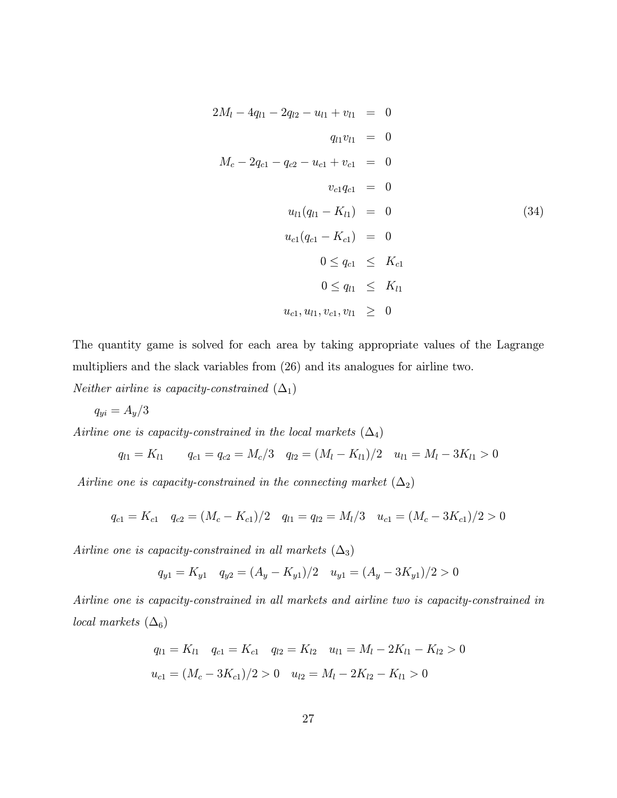$$
2M_{l} - 4q_{l1} - 2q_{l2} - u_{l1} + v_{l1} = 0
$$
  
\n
$$
q_{l1}v_{l1} = 0
$$
  
\n
$$
M_{c} - 2q_{c1} - q_{c2} - u_{c1} + v_{c1} = 0
$$
  
\n
$$
v_{c1}q_{c1} = 0
$$
  
\n
$$
u_{l1}(q_{l1} - K_{l1}) = 0
$$
  
\n
$$
u_{c1}(q_{c1} - K_{c1}) = 0
$$
  
\n
$$
0 \leq q_{c1} \leq K_{c1}
$$
  
\n
$$
0 \leq q_{l1} \leq K_{l1}
$$
  
\n
$$
u_{c1}, u_{l1}, v_{c1}, v_{l1} \geq 0
$$
  
\n(34)

The quantity game is solved for each area by taking appropriate values of the Lagrange multipliers and the slack variables from (26) and its analogues for airline two.

*Neither airline is capacity-constrained*  $(\Delta_1)$ 

$$
q_{yi} = A_y/3\,
$$

Airline one is capacity-constrained in the local markets  $(\Delta_4)$ 

$$
q_{l1} = K_{l1} \qquad q_{c1} = q_{c2} = M_c/3 \quad q_{l2} = (M_l - K_{l1})/2 \quad u_{l1} = M_l - 3K_{l1} > 0
$$

Airline one is capacity-constrained in the connecting market  $(\Delta_2)$ 

$$
q_{c1} = K_{c1} \quad q_{c2} = (M_c - K_{c1})/2 \quad q_{l1} = q_{l2} = M_l/3 \quad u_{c1} = (M_c - 3K_{c1})/2 > 0
$$

Airline one is capacity-constrained in all markets  $(\Delta_3)$ 

$$
q_{y1} = K_{y1} \quad q_{y2} = (A_y - K_{y1})/2 \quad u_{y1} = (A_y - 3K_{y1})/2 > 0
$$

Airline one is capacity-constrained in all markets and airline two is capacity-constrained in local markets  $(\Delta_6)$ 

$$
q_{l1} = K_{l1} \quad q_{c1} = K_{c1} \quad q_{l2} = K_{l2} \quad u_{l1} = M_l - 2K_{l1} - K_{l2} > 0
$$

$$
u_{c1} = (M_c - 3K_{c1})/2 > 0 \quad u_{l2} = M_l - 2K_{l2} - K_{l1} > 0
$$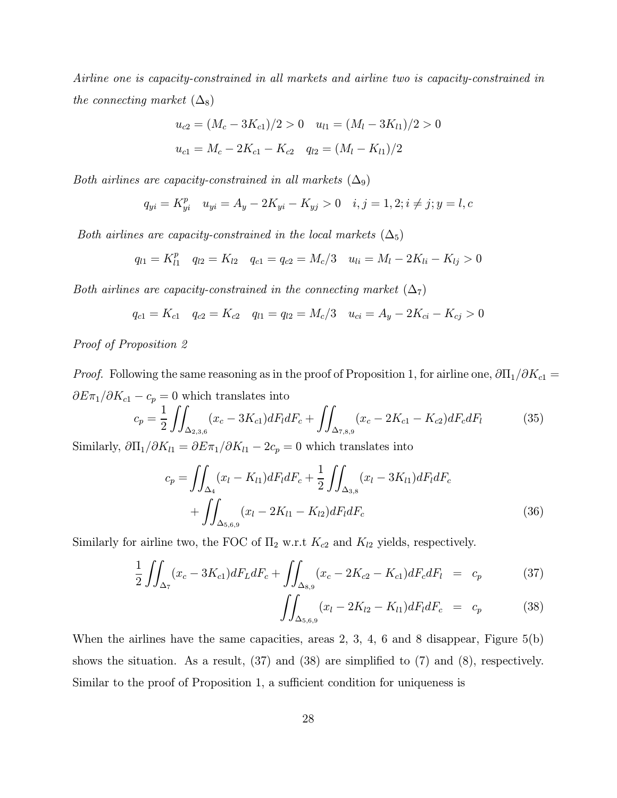Airline one is capacity-constrained in all markets and airline two is capacity-constrained in the connecting market  $(\Delta_8)$ 

$$
u_{c2} = (M_c - 3K_{c1})/2 > 0 \quad u_{l1} = (M_l - 3K_{l1})/2 > 0
$$

$$
u_{c1} = M_c - 2K_{c1} - K_{c2} \quad q_{l2} = (M_l - K_{l1})/2
$$

Both airlines are capacity-constrained in all markets  $(\Delta_9)$ 

$$
q_{yi} = K_{yi}^p \quad u_{yi} = A_y - 2K_{yi} - K_{yj} > 0 \quad i, j = 1, 2; i \neq j; y = l, c
$$

Both airlines are capacity-constrained in the local markets  $(\Delta_5)$ 

$$
q_{l1} = K_{l1}^p \quad q_{l2} = K_{l2} \quad q_{c1} = q_{c2} = M_c/3 \quad u_{li} = M_l - 2K_{li} - K_{lj} > 0
$$

Both airlines are capacity-constrained in the connecting market  $(\Delta_7)$ 

$$
q_{c1} = K_{c1} \quad q_{c2} = K_{c2} \quad q_{l1} = q_{l2} = M_c/3 \quad u_{ci} = A_y - 2K_{ci} - K_{cj} > 0
$$

# Proof of Proposition 2

*Proof.* Following the same reasoning as in the proof of Proposition 1, for airline one,  $\partial \Pi_1/\partial K_{c1} =$  $\partial E \pi_1 / \partial K_{c1} - c_p = 0$  which translates into

$$
c_p = \frac{1}{2} \iint_{\Delta_{2,3,6}} (x_c - 3K_{c1}) dF_l dF_c + \iint_{\Delta_{7,8,9}} (x_c - 2K_{c1} - K_{c2}) dF_c dF_l \tag{35}
$$

Similarly,  $\partial \Pi_1/\partial K_{l1} = \partial E \pi_1/\partial K_{l1} - 2c_p = 0$  which translates into

$$
c_p = \iint_{\Delta_4} (x_l - K_{l1}) dF_l dF_c + \frac{1}{2} \iint_{\Delta_{3,8}} (x_l - 3K_{l1}) dF_l dF_c
$$
  
+ 
$$
\iint_{\Delta_{5,6,9}} (x_l - 2K_{l1} - K_{l2}) dF_l dF_c
$$
(36)

Similarly for airline two, the FOC of  $\Pi_2$  w.r.t  $K_{c2}$  and  $K_{l2}$  yields, respectively.

$$
\frac{1}{2} \iint_{\Delta_7} (x_c - 3K_{c1}) dF_L dF_c + \iint_{\Delta_{8,9}} (x_c - 2K_{c2} - K_{c1}) dF_c dF_l = c_p \tag{37}
$$

$$
\iint_{\Delta_{5,6,9}} (x_l - 2K_{l2} - K_{l1}) dF_l dF_c = c_p \tag{38}
$$

When the airlines have the same capacities, areas 2, 3, 4, 6 and 8 disappear, Figure  $5(b)$ shows the situation. As a result, (37) and (38) are simplified to (7) and (8), respectively. Similar to the proof of Proposition 1, a sufficient condition for uniqueness is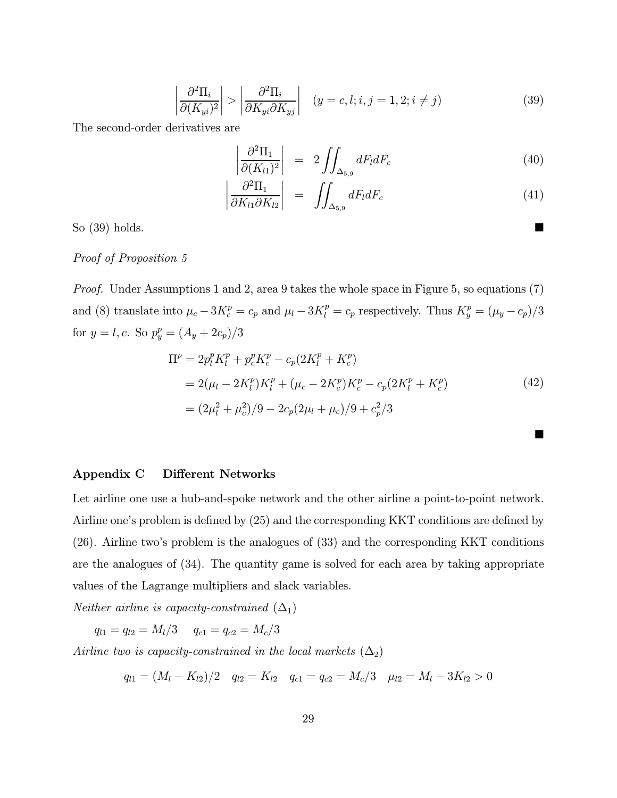$$
\left| \frac{\partial^2 \Pi_i}{\partial (K_{yi})^2} \right| > \left| \frac{\partial^2 \Pi_i}{\partial K_{yi} \partial K_{yj}} \right| \quad (y = c, l; i, j = 1, 2; i \neq j)
$$
\n(39)

The second-order derivatives are

$$
\left|\frac{\partial^2 \Pi_1}{\partial (K_{l1})^2}\right| = 2 \iint_{\Delta_{5,9}} dF_l dF_c \tag{40}
$$

$$
\left| \frac{\partial^2 \Pi_1}{\partial K_{l1} \partial K_{l2}} \right| = \iint_{\Delta_{5,9}} dF_l dF_c \tag{41}
$$

So  $(39)$  holds.

### Proof of Proposition 5

Proof. Under Assumptions 1 and 2, area 9 takes the whole space in Figure 5, so equations (7) and (8) translate into  $\mu_c - 3K_c^p = c_p$  and  $\mu_l - 3K_l^p = c_p$  respectively. Thus  $K_y^p = (\mu_y - c_p)/3$ for  $y = l, c$ . So  $p_y^p = (A_y + 2c_p)/3$ 

$$
\Pi^{p} = 2p_{l}^{p} K_{l}^{p} + p_{c}^{p} K_{c}^{p} - c_{p} (2K_{l}^{p} + K_{c}^{p})
$$
  
= 2( $\mu_{l} - 2K_{l}^{p}) K_{l}^{p} + (\mu_{c} - 2K_{c}^{p}) K_{c}^{p} - c_{p} (2K_{l}^{p} + K_{c}^{p})$   
=  $(2\mu_{l}^{2} + \mu_{c}^{2})/9 - 2c_{p} (2\mu_{l} + \mu_{c})/9 + c_{p}^{2}/3$  (42)

 $\blacksquare$ 

### Appendix C Different Networks

Let airline one use a hub-and-spoke network and the other airline a point-to-point network. Airline one's problem is defined by (25) and the corresponding KKT conditions are defined by (26). Airline two's problem is the analogues of (33) and the corresponding KKT conditions are the analogues of (34). The quantity game is solved for each area by taking appropriate values of the Lagrange multipliers and slack variables.

*Neither airline is capacity-constrained*  $(\Delta_1)$ 

 $q_{l1} = q_{l2} = M_l/3$   $q_{c1} = q_{c2} = M_c/3$ 

Airline two is capacity-constrained in the local markets  $(\Delta_2)$ 

$$
q_{l1} = (M_l - K_{l2})/2 \quad q_{l2} = K_{l2} \quad q_{c1} = q_{c2} = M_c/3 \quad \mu_{l2} = M_l - 3K_{l2} > 0
$$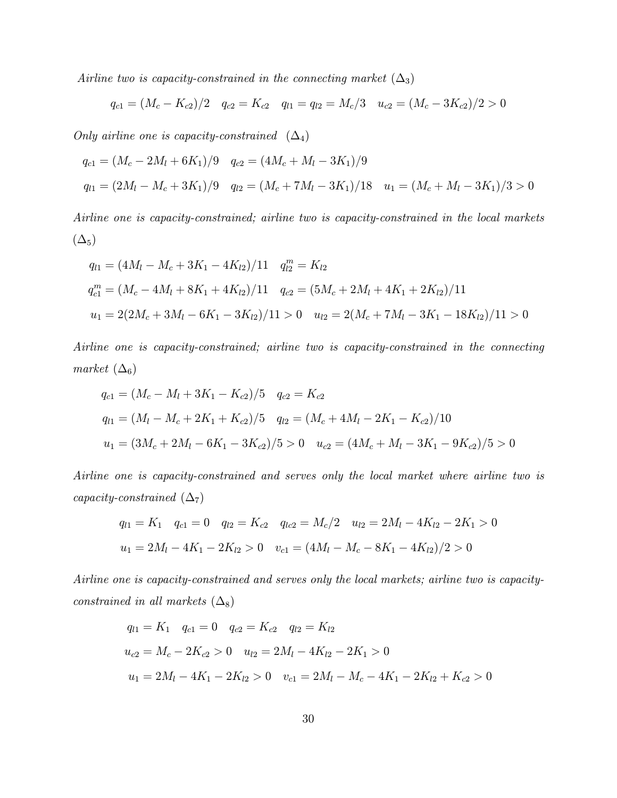Airline two is capacity-constrained in the connecting market  $(\Delta_3)$ 

$$
q_{c1} = (M_c - K_{c2})/2 \quad q_{c2} = K_{c2} \quad q_{l1} = q_{l2} = M_c/3 \quad u_{c2} = (M_c - 3K_{c2})/2 > 0
$$

Only airline one is capacity-constrained  $(\Delta_4)$ 

$$
q_{c1} = (M_c - 2M_l + 6K_1)/9 \quad q_{c2} = (4M_c + M_l - 3K_1)/9
$$
  

$$
q_{l1} = (2M_l - M_c + 3K_1)/9 \quad q_{l2} = (M_c + 7M_l - 3K_1)/18 \quad u_1 = (M_c + M_l - 3K_1)/3 > 0
$$

Airline one is capacity-constrained; airline two is capacity-constrained in the local markets  $(\Delta_5)$ 

$$
q_{l1} = (4M_l - M_c + 3K_1 - 4K_{l2})/11 \t q_{l2}^m = K_{l2}
$$
  
\n
$$
q_{c1}^m = (M_c - 4M_l + 8K_1 + 4K_{l2})/11 \t q_{c2} = (5M_c + 2M_l + 4K_1 + 2K_{l2})/11
$$
  
\n
$$
u_1 = 2(2M_c + 3M_l - 6K_1 - 3K_{l2})/11 > 0 \t u_{l2} = 2(M_c + 7M_l - 3K_1 - 18K_{l2})/11 > 0
$$

Airline one is capacity-constrained; airline two is capacity-constrained in the connecting market  $(\Delta_6)$ 

$$
q_{c1} = (M_c - M_l + 3K_1 - K_{c2})/5 \t q_{c2} = K_{c2}
$$
  
\n
$$
q_{l1} = (M_l - M_c + 2K_1 + K_{c2})/5 \t q_{l2} = (M_c + 4M_l - 2K_1 - K_{c2})/10
$$
  
\n
$$
u_1 = (3M_c + 2M_l - 6K_1 - 3K_{c2})/5 > 0 \t u_{c2} = (4M_c + M_l - 3K_1 - 9K_{c2})/5 > 0
$$

Airline one is capacity-constrained and serves only the local market where airline two is capacity-constrained  $(\Delta_7)$ 

$$
q_{l1} = K_1 \quad q_{c1} = 0 \quad q_{l2} = K_{c2} \quad q_{lc2} = M_c/2 \quad u_{l2} = 2M_l - 4K_{l2} - 2K_1 > 0
$$

$$
u_1 = 2M_l - 4K_1 - 2K_{l2} > 0 \quad v_{c1} = (4M_l - M_c - 8K_1 - 4K_{l2})/2 > 0
$$

Airline one is capacity-constrained and serves only the local markets; airline two is capacityconstrained in all markets  $(\Delta_8)$ 

$$
q_{l1} = K_1 \t q_{c1} = 0 \t q_{c2} = K_{c2} \t q_{l2} = K_{l2}
$$
  
\n
$$
u_{c2} = M_c - 2K_{c2} > 0 \t u_{l2} = 2M_l - 4K_{l2} - 2K_1 > 0
$$
  
\n
$$
u_1 = 2M_l - 4K_1 - 2K_{l2} > 0 \t v_{c1} = 2M_l - M_c - 4K_1 - 2K_{l2} + K_{c2} > 0
$$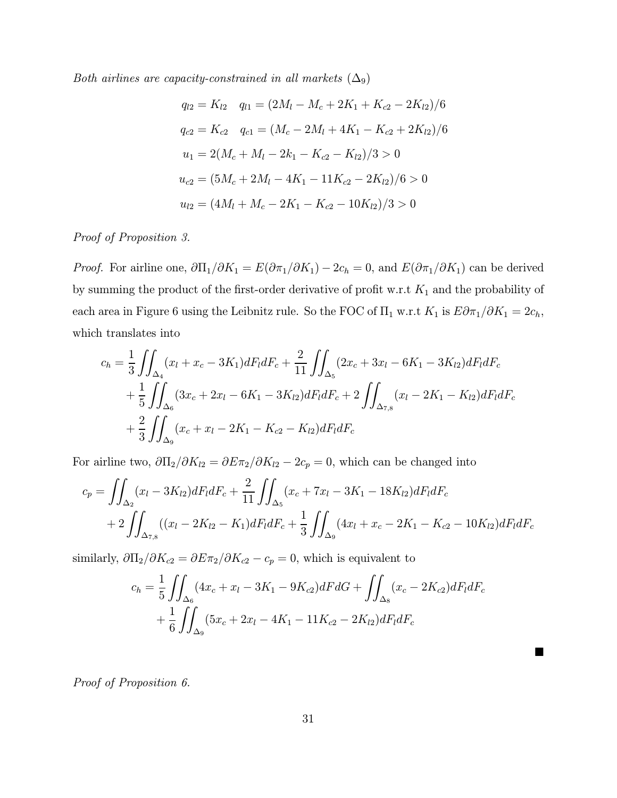Both airlines are capacity-constrained in all markets  $(\Delta_9)$ 

$$
q_{l2} = K_{l2} \t q_{l1} = (2M_l - M_c + 2K_1 + K_{c2} - 2K_{l2})/6
$$
  
\n
$$
q_{c2} = K_{c2} \t q_{c1} = (M_c - 2M_l + 4K_1 - K_{c2} + 2K_{l2})/6
$$
  
\n
$$
u_1 = 2(M_c + M_l - 2k_1 - K_{c2} - K_{l2})/3 > 0
$$
  
\n
$$
u_{c2} = (5M_c + 2M_l - 4K_1 - 11K_{c2} - 2K_{l2})/6 > 0
$$
  
\n
$$
u_{l2} = (4M_l + M_c - 2K_1 - K_{c2} - 10K_{l2})/3 > 0
$$

Proof of Proposition 3.

*Proof.* For airline one,  $\partial \Pi_1/\partial K_1 = E(\partial \pi_1/\partial K_1) - 2c_h = 0$ , and  $E(\partial \pi_1/\partial K_1)$  can be derived by summing the product of the first-order derivative of profit w.r.t  $K_1$  and the probability of each area in Figure 6 using the Leibnitz rule. So the FOC of  $\Pi_1$  w.r.t  $K_1$  is  $E\partial\pi_1/\partial K_1 = 2c_h$ , which translates into

$$
c_h = \frac{1}{3} \iint_{\Delta_4} (x_l + x_c - 3K_1) dF_l dF_c + \frac{2}{11} \iint_{\Delta_5} (2x_c + 3x_l - 6K_1 - 3K_{l2}) dF_l dF_c
$$
  
+ 
$$
\frac{1}{5} \iint_{\Delta_6} (3x_c + 2x_l - 6K_1 - 3K_{l2}) dF_l dF_c + 2 \iint_{\Delta_{7,8}} (x_l - 2K_1 - K_{l2}) dF_l dF_c
$$
  
+ 
$$
\frac{2}{3} \iint_{\Delta_9} (x_c + x_l - 2K_1 - K_{c2} - K_{l2}) dF_l dF_c
$$

For airline two,  $\partial \Pi_2 / \partial K_{l2} = \partial E \pi_2 / \partial K_{l2} - 2c_p = 0$ , which can be changed into

$$
c_p = \iint_{\Delta_2} (x_l - 3K_{l2}) dF_l dF_c + \frac{2}{11} \iint_{\Delta_5} (x_c + 7x_l - 3K_1 - 18K_{l2}) dF_l dF_c
$$
  
+ 
$$
2 \iint_{\Delta_{7,8}} ((x_l - 2K_{l2} - K_1) dF_l dF_c + \frac{1}{3} \iint_{\Delta_9} (4x_l + x_c - 2K_1 - K_{c2} - 10K_{l2}) dF_l dF_c
$$

similarly,  $\partial \Pi_2 / \partial K_{c2} = \partial E \pi_2 / \partial K_{c2} - c_p = 0$ , which is equivalent to

$$
c_h = \frac{1}{5} \iint_{\Delta_6} (4x_c + x_l - 3K_1 - 9K_{c2}) dF dG + \iint_{\Delta_8} (x_c - 2K_{c2}) dF_l dF_c
$$
  
+ 
$$
\frac{1}{6} \iint_{\Delta_9} (5x_c + 2x_l - 4K_1 - 11K_{c2} - 2K_{l2}) dF_l dF_c
$$

 $\blacksquare$ 

Proof of Proposition 6.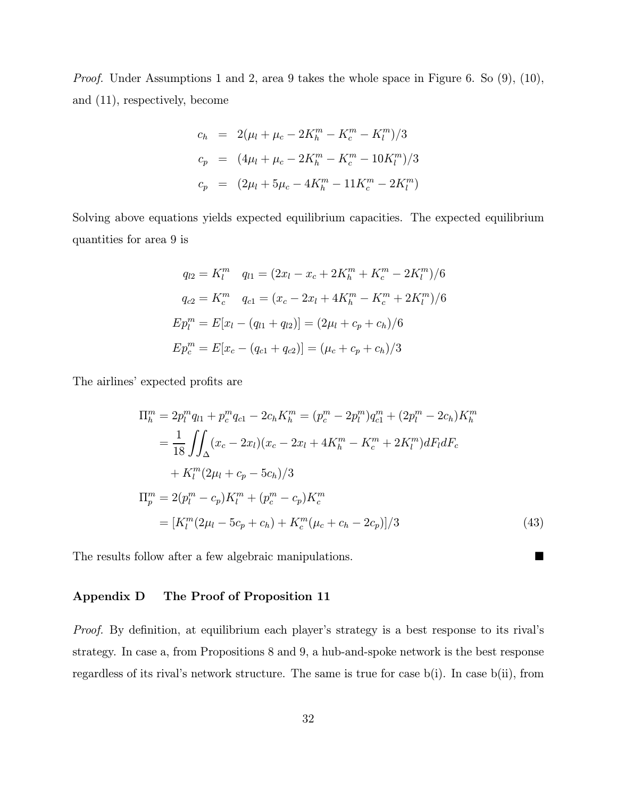Proof. Under Assumptions 1 and 2, area 9 takes the whole space in Figure 6. So (9), (10), and (11), respectively, become

$$
c_h = 2(\mu_l + \mu_c - 2K_h^m - K_c^m - K_l^m)/3
$$
  
\n
$$
c_p = (4\mu_l + \mu_c - 2K_h^m - K_c^m - 10K_l^m)/3
$$
  
\n
$$
c_p = (2\mu_l + 5\mu_c - 4K_h^m - 11K_c^m - 2K_l^m)
$$

Solving above equations yields expected equilibrium capacities. The expected equilibrium quantities for area 9 is

$$
q_{l2} = K_l^m \t q_{l1} = (2x_l - x_c + 2K_h^m + K_c^m - 2K_l^m)/6
$$

$$
q_{c2} = K_c^m \t q_{c1} = (x_c - 2x_l + 4K_h^m - K_c^m + 2K_l^m)/6
$$

$$
Ep_l^m = E[x_l - (q_{l1} + q_{l2})] = (2\mu_l + c_p + c_h)/6
$$

$$
Ep_c^m = E[x_c - (q_{c1} + q_{c2})] = (\mu_c + c_p + c_h)/3
$$

The airlines' expected profits are

$$
\Pi_{h}^{m} = 2p_{l}^{m}q_{l1} + p_{c}^{m}q_{c1} - 2c_{h}K_{h}^{m} = (p_{c}^{m} - 2p_{l}^{m})q_{c1}^{m} + (2p_{l}^{m} - 2c_{h})K_{h}^{m}
$$

$$
= \frac{1}{18} \iint_{\Delta} (x_{c} - 2x_{l})(x_{c} - 2x_{l} + 4K_{h}^{m} - K_{c}^{m} + 2K_{l}^{m})dF_{l}dF_{c}
$$

$$
+ K_{l}^{m}(2\mu_{l} + c_{p} - 5c_{h})/3
$$

$$
\Pi_{p}^{m} = 2(p_{l}^{m} - c_{p})K_{l}^{m} + (p_{c}^{m} - c_{p})K_{c}^{m}
$$

$$
= [K_{l}^{m}(2\mu_{l} - 5c_{p} + c_{h}) + K_{c}^{m}(\mu_{c} + c_{h} - 2c_{p})]/3
$$
(43)

The results follow after a few algebraic manipulations.  $\blacksquare$ 

### Appendix D The Proof of Proposition 11

Proof. By definition, at equilibrium each player's strategy is a best response to its rival's strategy. In case a, from Propositions 8 and 9, a hub-and-spoke network is the best response regardless of its rival's network structure. The same is true for case  $b(i)$ . In case  $b(ii)$ , from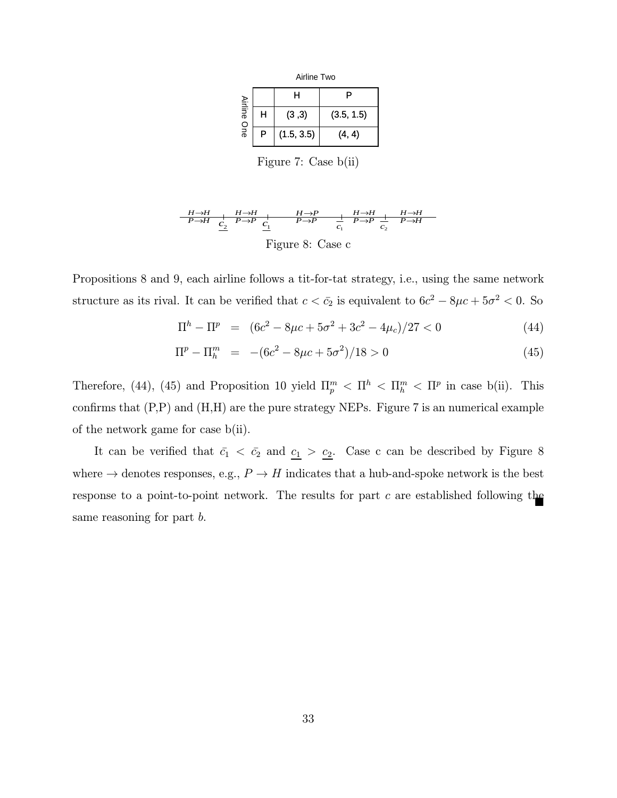Airline Two

|                       |   | н          | P          |
|-----------------------|---|------------|------------|
| <b>Airline</b><br>One | н | (3,3)      | (3.5, 1.5) |
|                       | P | (1.5, 3.5) | (4, 4)     |

Figure 7: Case b(ii)

$$
\frac{H\rightarrow H}{P\rightarrow H} + \frac{H\rightarrow H}{c_2} + \frac{H\rightarrow P}{c_1} + \frac{H\rightarrow H}{c_2} + \frac{H\rightarrow H}{c_2} + \frac{H\rightarrow H}{c_2}
$$
  
Figure 8: Case c

Propositions 8 and 9, each airline follows a tit-for-tat strategy, i.e., using the same network structure as its rival. It can be verified that  $c < \bar{c}_2$  is equivalent to  $6c^2 - 8\mu c + 5\sigma^2 < 0$ . So

$$
\Pi^{h} - \Pi^{p} = (6c^{2} - 8\mu c + 5\sigma^{2} + 3c^{2} - 4\mu_{c})/27 < 0
$$
\n(44)

$$
\Pi^p - \Pi_h^m = -(6c^2 - 8\mu c + 5\sigma^2)/18 > 0
$$
\n(45)

Therefore, (44), (45) and Proposition 10 yield  $\Pi_p^m < \Pi^h < \Pi_h^m < \Pi^p$  in case b(ii). This confirms that  $(P, P)$  and  $(H, H)$  are the pure strategy NEPs. Figure 7 is an numerical example of the network game for case b(ii).

It can be verified that  $\bar{c}_1 < \bar{c}_2$  and  $\underline{c}_1 > \underline{c}_2$ . Case c can be described by Figure 8 where  $\rightarrow$  denotes responses, e.g.,  $P \rightarrow H$  indicates that a hub-and-spoke network is the best response to a point-to-point network. The results for part  $c$  are established following the same reasoning for part b.  $\blacksquare$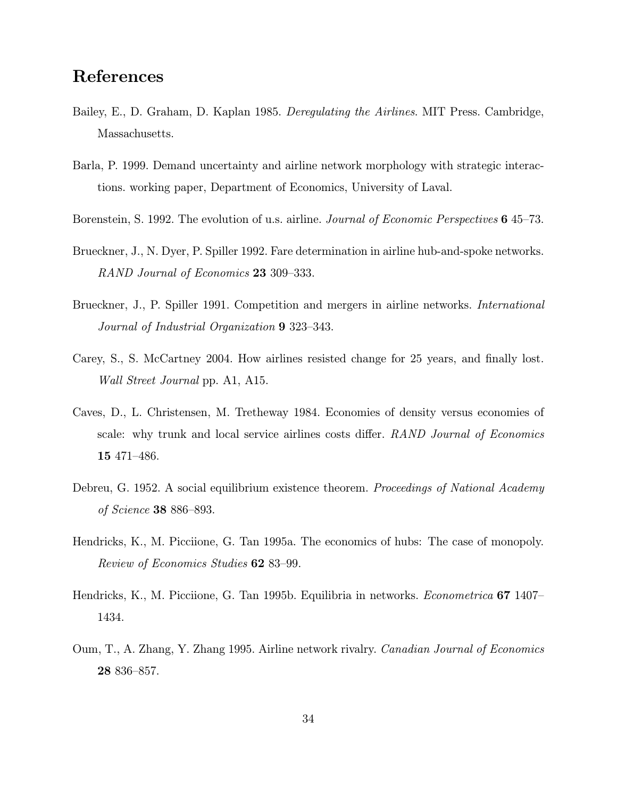# References

- Bailey, E., D. Graham, D. Kaplan 1985. Deregulating the Airlines. MIT Press. Cambridge, Massachusetts.
- Barla, P. 1999. Demand uncertainty and airline network morphology with strategic interactions. working paper, Department of Economics, University of Laval.
- Borenstein, S. 1992. The evolution of u.s. airline. *Journal of Economic Perspectives* 645–73.
- Brueckner, J., N. Dyer, P. Spiller 1992. Fare determination in airline hub-and-spoke networks. RAND Journal of Economics 23 309—333.
- Brueckner, J., P. Spiller 1991. Competition and mergers in airline networks. International Journal of Industrial Organization 9 323—343.
- Carey, S., S. McCartney 2004. How airlines resisted change for 25 years, and finally lost. Wall Street Journal pp. A1, A15.
- Caves, D., L. Christensen, M. Tretheway 1984. Economies of density versus economies of scale: why trunk and local service airlines costs differ. RAND Journal of Economics 15 471—486.
- Debreu, G. 1952. A social equilibrium existence theorem. Proceedings of National Academy of Science 38 886—893.
- Hendricks, K., M. Picciione, G. Tan 1995a. The economics of hubs: The case of monopoly. Review of Economics Studies 62 83—99.
- Hendricks, K., M. Picciione, G. Tan 1995b. Equilibria in networks. Econometrica 67 1407-1434.
- Oum, T., A. Zhang, Y. Zhang 1995. Airline network rivalry. Canadian Journal of Economics 28 836—857.